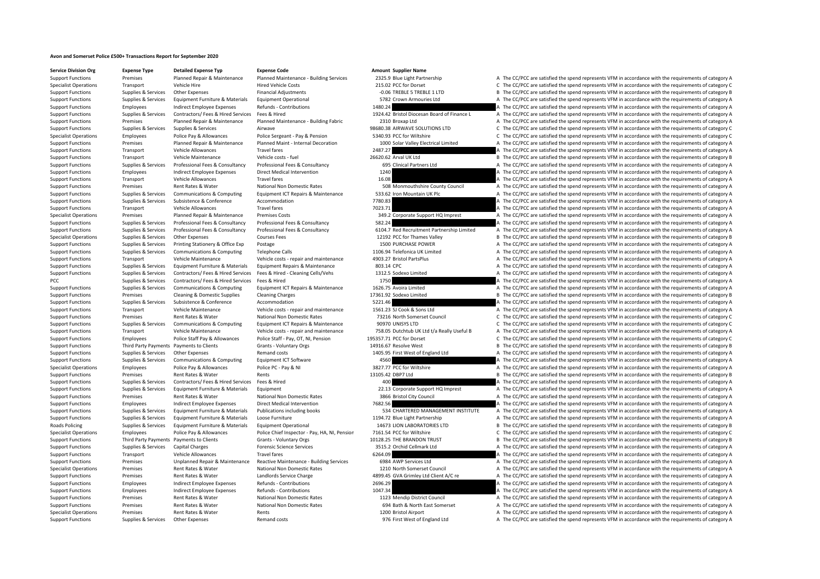## **Avon and Somerset Police £500+ Transactions Report for September 2020**

**Service Division Org Expense Type Detailed Expense Typ Expense Code Amount Supplier Name** Support Functions Premises Planned Renair & Maintenance Planned Maintenance Ruilding Services 2325.9 Rule Light Partnershin A The CC/PCC are satisfied the spend renresents VEM in accordance with the requirements of categor

Specialist Operations Transport Vehicle Hire Hire Hired Vehicle Costs 215.02 PCC for Dorset C The CC/PCC are satisfied the spend represents VFM in accordance with the requirements of category C Support Functions Supplies & Services Other Expenses Financial Adjustments Financial Adjustments **Financial Adjustments** 1.06 TREBLE 5 TREBLE 1 LTD B The CC/PCC are satisfied the spend represents VFM in accordance with the Support Functions Supplies & Services Equipment Furniture & Materials Equipment Operational 5782 Crown Armouries Ltd A The CC/PCC are satisfied the spend represents VFM in accordance with the requirements of category A Support Functions Employees Indirect Employee Expenses Refunds - Contributions 1480.24 A The CC/PCC are satisfied the spend represents VFM in accordance with the requirements of category A Support Functions Supplies & Services Contractors/ Fees & Hired Services Fees & Hired Services Fees & Hired Services Fees & Hired Services Fees & Hired Services Fees & Hired Services And Amery 1924.42 Bristol Diocesan Boar Support Functions Premises Planned Repair & Maintenance Planned Maintenance - Building Fabric 2310 Broxap Ltd A The CC/PCC are satisfied the spend represents VFM in accordance with the requirements of category A Support Functions Supplies & Services Supplies & Services Airwave 98680.38 AIRWAVE SOLUTIONS LTD C The CC/PCC are satisfied the spend represents VFM in accordance with the requirements of category C Specialist Operations Employees Police Pay & Allowances Police Sergeant - Pay & Pension 5340.93 PCC for Wiltshire C The CC/PCC are satisfied the spend represents VFM in accordance with the requirements of category C Support Functions Premises Planned Repair & Maintenance Planned Maint - Internal Decoration 1000 Solar Valley Electrical Limited A The CC/PCC are satisfied the spend represents VFM in accordance with the requirements of ca Support Functions Transport Vehicle Allowances Travel fares 2007.27 2007.27 A The CC/PCC are satisfied the spend represents VFM in accordance with the requirements of category A Support Functions Transport Vehicle Maintenance Vehicle costs ‐ fuel Vehicle costs ‐ fuel 26620.62 Arval UK Ltd B The CC/PCC are satisfied the spend represents VFM in accordance with the requirements of category B Support Functions Supplies & Services Professional Fees & Consultancy Professional Fees & Consultancy Professional Fees & Consultancy Professional Fees & Consultancy 695 Clinical Partners Ltd A The CC/PCC are satisfied the Support Functions Employees Indirect Employee Expenses Direct Medical Intervention 1240 1240 A The CC/PCC are satisfied the spend represents VFM in accordance with the requirements of category A Support Functions Transport Vehicle Allowances Travel fares Travel fares 16.08 A The CC/PCC are satisfied the spend represents VFM in accordance with the requirements of category A The CC/PCC are satisfied the spend repres Support Functions Premises Rent Rates & Water National Non Domestic Rates 508 Monmouthshire County Council A The CC/PCC are satisfied the spend represents VFM in accordance with the requirements of category A Support Functions Supplies & Services Communications & Computing Foujoment ICT Repairs & Maintenance 533.62 Iron Mountain UK Plc A The CC/PCC are satisfied the spend represents VFM in accordance with the requirements of ca Support Functions Supplies & Services Subsistence  $\alpha$  Accommodation Accommodation 7780.83 A The CC/PCC are satisfied the spend represents VFM in accordance with the requirements of category A Support Functions Transport Vehicle Allowances Travel fares Travel fares 7023.71 7023.71 A The CC/PCC are satisfied the spend represents VFM in accordance with the requirements of category A Specialist Operations Premises Planned Repair & Maintenance Premises Costs 349.2 Corporate Support HQ Imprest A The CC/PCC are satisfied the spend represents VFM in accordance with the requirements of category A Support Functions Supplies & Services Professional Fees & Consultancy Professional Fees & Consultancy 582.24 A The CC/PCC are satisfied the spend represents VFM in accordance with the requirements of category A Support Functions Supplies & Services Professional Fees & Consultancy Professional Fees & Consultancy Professional Fees & Consultancy Professional Fees & Consultancy 6104.7 Red Recruitment Partnership Limited A The CC/PCC Specialist Operations Supplies & Services Other Expenses Courses Fees Courses Fees 12192 PCC for Thames Valley B The CC/PCC are satisfied the spend represents VFM in accordance with the requirements of category B Support Functions Supplies & Services Printing Stationery & Office Exp Postage Printing Stationery & Office Exp Postage 1500 PURCHASE POWER A The CC/PCC are satisfied the spend represents VFM in accordance with the require Support Functions Supplies & Services Communications & Computing Telephone Calls 1106.94 Telefonica UK Limited A The CC/PCC are satisfied the spend represents VFM in accordance with the requirements of category A Support Functions Transport Vehicle Maintenance Vehicle costs ‐ repair and maintenance 4903.27 Bristol PartsPlus A The CC/PCC are satisfied the spend represents VFM in accordance with the requirements of category A Support Functions Supplies & Services Equipment Furniture & Materials Equipment Repairs & Maintenance 803.14 CPC 803.14 CPC A The CC/PCC are satisfied the spend represents VFM in accordance with the requirements of categor Suppliers & Services Contractors/ Fees & Hired Services Fees & Hired - Cleaning Cells/Vebs 1312.5 Sodexo limited A The CC/PCC are satisfied the spend represents VFM in accordance with the requirements of category A PCC Supplies a Services Contractors/ Fees & Hired Services Fees & Hired 1750 1750 A The CC/PCC are satisfied the spend represents VFM in accordance with the requirements of category A Support Functions Supplies & Services Communications & Computing Equipment ICT Repairs & Maintenance 1626.75 Avoira Limited A The CC/PCC are satisfied the spend represents VFM in accordance with the requirements of categor Support Functions Premises Cleaning & Domestic Supplies Cleaning Charges 17361.92 Sodexo Limited B The CC/PCC are satisfied the spend represents VFM in accordance with the requirements of category B Support Functions Supplies & Services Subsistence  $\alpha$  Accommodation Accommodation 5221.46 A The CC/PCC are satisfied the spend represents VFM in accordance with the requirements of category A Support Functions Transport Vehicle Maintenance Vehicle costs ‐ repair and maintenance 1561.23 SJ Cook & Sons Ltd A The CC/PCC are satisfied the spend represents VFM in accordance with the requirements of category A Support Functions Premises Rent Rates & Water National Non Domestic Rates 73216 North Somerset Council C The CC/PCC are satisfied the spend represents VFM in accordance with the requirements of category C Support Functions Supplies & Services Communications & Computing Equipment ICT Repairs & Maintenance 90970 UNISYS LTD C The CC/PCC are satisfied the spend represents VFM in accordance with the requirements of category C Support Functions Transport Vehicle Maintenance Vehicle costs - repair and maintenance 758.05 Dutchtub UK Ltd t/a Really Useful B A The CC/PCC are satisfied the spend represents VFM in accordance with the requirements of c Support Functions Employees Police Staff Pay & Allowances Police Staff - Pay, OT, NI, Pension 195357.71 PCC for Dorset C The CC/PCC are satisfied the spend represents VFM in accordance with the requirements of category C Support Functions Third Party Payments Payments to Clients Grants - Voluntary Orgs 14916.67 Resolve West B The CC/PCC are satisfied the spend represents VFM in accordance with the requirements of category B Support Functions Supplies & Services Other Expenses Remand costs Remand costs 1405.95 First West of England Ltd A The CC/PCC are satisfied the spend represents VFM in accordance with the requirements of category A Support Functions Supplies & Services Communications & Computing Equipment ICT Software 4560 4560 A The CC/PCC are satisfied the spend represents VFM in accordance with the requirements of category A Specialist Operations Employees Police Pay & Allowances Police PC - Pay & NI 3827.77 PCC for Wiltshire A The CC/PCC are satisfied the spend represents VFM in accordance with the requirements of category A Support Functions Premises Rent Rates & Water Rents Rents Rents Rents 13105.42 DBP7 Ltd B The CC/PCC are satisfied the spend represents VFM in accordance with the requirements of category B Support Functions Supplies & Services Contractors/ Fees & Hired Services Fees & Hired 400 A The CC/PCC are satisfied the spend represents VFM in accordance with the requirements of category A Support Functions Supplies & Services Equipment Furniture & Materials Equipment extent 22.13 Corporate Support HQ Imprest A The CC/PCC are satisfied the spend represents VFM in accordance with the requirements of category Support Functions Premises Rent Rates & Water National Non Domestic Rates 3866 Bristol City Council A The CC/PCC are satisfied the spend represents VFM in accordance with the requirements of category A Support Functions Employees Indirect Employee Expenses Direct Medical Intervention 7682.56 A The CC/PCC are satisfied the spend represents VFM in accordance with the requirements of category A Support Functions Supplies & Services Equipment Furniture & Materials Publications including books 534 CHARTERED MANAGEMENT INSTITUTE A The CC/PCC are satisfied the spend represents VFM in accordance with the requirements Support Functions Supplies & Services Equipment Furniture & Materials Loose Furniture 1194.72 Blue Light Partnership A The CC/PCC are satisfied the spend represents VFM in accordance with the requirements of category A Roads Policing Supplies & Services Equipment Furniture & Materials Equipment Operational 14673 LION LABORATORIES LTD B The CC/PCC are satisfied the spend represents VFM in accordance with the requirements of category B Specialist Operations Employees Police Pay & Allowances Police Chief Inspector - Pay, HA, NI, Pensior 7161.54 PCC for Wiltshire C The CC/PCC are satisfied the spend represents VFM in accordance with the requirements of cat Support Functions Third Party Payments Payments to Clients Grants - Voluntary Orgs 10128.25 THE BRANDON TRUST B The CC/PCC are satisfied the spend represents VFM in accordance with the requirements of category B Support Functions Supplies & Services Capital Charges Forensic Science Services 3515.2 Orchid Cellmark Ltd A The CC/PCC are satisfied the spend represents VFM in accordance with the requirements of category A Support Functions Transport Vehicle Allowances Travel fares 6264.09 A The CC/PCC are satisfied the spend represents VFM in accordance with the requirements of category A Support Functions Premises Unplanned Repair & Maintenance Reactive Maintenance - Building Services 6984 AWP Services Ltd A The CC/PCC are satisfied the spend represents VFM in accordance with the requirements of category A Specialist Operations Premises Rent Rates & Water National Non Domestic Rates 1210 North Somerset Council A The CC/PCC are satisfied the spend represents VFM in accordance with the requirements of category A Support Functions Premises Rent Rates & Water Landlords Service Charge 4899.45 GVA Grimley Ltd Client A/C re A The CC/PCC are satisfied the spend represents VFM in accordance with the requirements of category A Support Functions Employees Indirect Employee Expenses Refunds - Contributions 2696.29 A The CC/PCC are satisfied the spend represents VFM in accordance with the requirements of category A Support Functions Employees Indirect Employee Expenses Refunds - Contributions 1047.34 1047.34 A The CC/PCC are satisfied the spend represents VFM in accordance with the requirements of category A Support Functions Premises Rent Rates & Water National Non Domestic Rates 1123 Mendip District Council A The CC/PCC are satisfied the spend represents VFM in accordance with the requirements of category A Support Functions Premises Rent Rates & Water National Non Domestic Rates 694 Bath & North East Somerset A The CC/PCC are satisfied the spend represents VFM in accordance with the requirements of category A Specialist Operations Premises Rent Rates & Water Rents Rents Rents Rents Rents Rent Rents Rent Rents 1200 Bristol Airport A The CC/PCC are satisfied the spend represents VFM in accordance with the requirements of category Support Functions Supplies & Services Other Expenses Remand costs Remand costs 976 First West of England Ltd A The CC/PCC are satisfied the spend represents VFM in accordance with the requirements of category A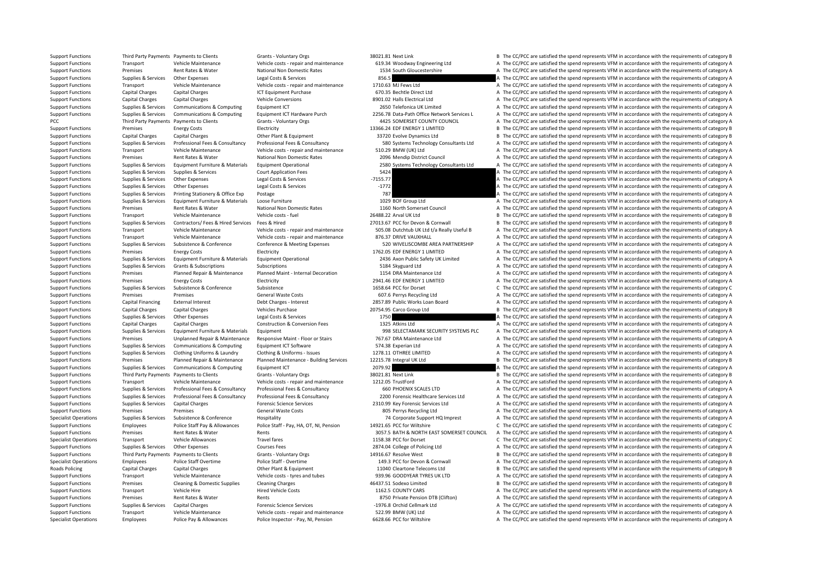Support Functions Third Party Payments Payments to Clients Grants - Voluntary Orgs 38021.81 Next Link B The CC/PCC are satisfied the spend represents VFM in accordance with the requirements of category B Support Functions Transport Vehicle Maintenance Vehicle costs - repair and maintenance 619.34 Woodway Engineering Ltd A The CC/PCC are satisfied the spend represents VFM in accordance with the requirements of category A Support Functions Premises Rent Rates & Water National Non Domestic Rates 1534 South Gloucestershire A The CC/PCC are satisfied the spend represents VFM in accordance with the requirements of category A Support Functions Supplies & Services Cher Expenses Legal Costs & Services 856.5 A The CC/PCC are satisfied the spend represents VFM in accordance with the requirements of category A Support Functions Transport Vehicle Maintenance Vehicle costs ‐ repair and maintenance 1710.63 MJ Fews Ltd A The CC/PCC are satisfied the spend represents VFM in accordance with the requirements of category A Support Functions Capital Charges Capital Charges ICT Equipment Purchase 670.35 Bechtle Direct Ltd A The CC/PCC are satisfied the spend represents VFM in accordance with the requirements of category A Support Functions Capital Charges Capital Charges Vehicle Conversions 8901.02 Halls Electrical Ltd A The CC/PCC are satisfied the spend represents VFM in accordance with the requirements of category A Support Functions Supplies & Services Communications & Computing Faultoment ICT 2650 Telefonica UK Limited A The CC/PCC are satisfied the spend represents VFM in accordance with the requirements of category A Support Functions Supplies & Services Communications & Computing Equipment ICT Hardware Purch 2256.78 Data-Path Office Network Services 1 A The CC/PCC are satisfied the spend represents VFM in accordance with the requireme PCC Third Party Payments Payments to Clients Grants - Voluntary Orgs 4425 SOMERSET COUNTY COUNCIL A The CC/PCC are satisfied the spend represents VFM in accordance with the requirements of category A Support Functions Premises Functions Electricity Electricity Electricity 13366.24 EDF ENERGY 1 LIMITED B The CC/PCC are satisfied the spend represents VFM in accordance with the requirements of category B Support Functions Capital Charges Capital Charges Other Plant & Equipment 33720 Evolve Dynamics Ltd B The CC/PCC are satisfied the spend represents VFM in accordance with the requirements of category B Support Functions Supplies & Services Professional Fees & Consultancy Professional Fees & Consultancy Professional Fees & Consultancy Consultancy Sackgrams Technology Consultants Ltd A The CC/PCC are satisfied the spend re Support Functions Transport Vehicle Maintenance Vehicle costs - repair and maintenance 510.29 BMW (UK) Ltd A The CC/PCC are satisfied the spend represents VFM in accordance with the requirements of category A Support Functions Premises Rent Rates & Water National Non Domestic Rates 2096 Mendip District Council A The CC/PCC are satisfied the spend represents VFM in accordance with the requirements of category A Support Functions Supplies & Services Equipment Furniture & Materials Equipment Operational 2580 Systems Technology Consultants Ltd A The CC/PCC are satisfied the spend represents VFM in accordance with the requirements of Support Functions Supplies & Services Supplies & Services Court Application Fees 5424 A The CC/PCC are satisfied the spend represents VFM in accordance with the requirements of category A Support Functions Supplies & Services Other Expenses Legal Costs & Services –7155.77 A The CC/PCC are satisfied the spend represents VFM in accordance with the requirements of category A Support Functions Supplies & Services Other Expenses Legal Costs & Services –1772 **A The CC/PCC are satisfied the spend represents VFM in accordance with the requirements of category A** Support Functions Supplies & Services Printing Stationery & Office Exp Postage 787 787 A The CC/PCC are satisfied the spend represents VFM in accordance with the requirements of category A Support Functions Supplies & Services Equipment Furniture & Materials Loose Furniture 1029 BOF Group Ltd A The CC/PCC are satisfied the spend represents VFM in accordance with the requirements of category A Support Functions Premises Rent Rates & Water National Non Domestic Rates 1160 North Somerset Council A The CC/PCC are satisfied the spend represents VFM in accordance with the requirements of category A Support Functions Transport Vehicle Maintenance Vehicle costs – fuel 26488.22 Arval UK Ltd B The CC/PCC are satisfied the spend represents VFM in accordance with the requirements of category B Support Functions Supplies & Services Contractors/ Fees & Hired Services Fees & Hired 27013.67 PCC for Devon & Cornwall B The CC/PCC are satisfied the spend represents VFM in accordance with the requirements of category B Support Functions Transport Vehicle Maintenance Vehicle costs - repair and maintenance S05.08 Dutchtub UK Ltd t/a Really Useful B A The CC/PCC are satisfied the spend represents VFM in accordance with the requirements of c Support Functions Transport Vehicle Maintenance Vehicle costs ‐ repair and maintenance 876.37 DRIVE VAUXHALL A The CC/PCC are satisfied the spend represents VFM in accordance with the requirements of category A Support Functions Supplies & Services Subsistence & Conference Conference Conference & Meeting Expenses 520 WIVELISCOMBE AREA PARTNERSHIP A The CC/PCC are satisfied the spend represents VFM in accordance with the requireme Support Functions Premises Energy Costs Electricity Electricity Electricity 1762.05 EDF ENERGY 1 LIMITED A The CC/PCC are satisfied the spend represents VFM in accordance with the requirements of category A Supplies & Services Equipment Furniture & Materials Equipment Operational 2436 Axon Public Safety UK Limited A The CC/PCC are satisfied the spend represents VFM in accordance with the requirements of category A Support Functions Supplies & Services Grants & Subscriptions Subscriptions Subscriptions Subscriptions Subscriptions Subscriptions Subscriptions Subscriptions Subscriptions Subscriptions Subscriptions Subscriptions Subscri Support Functions Premises Planned Repair & Maintenance Planned Maint - Internal Decoration 1154 DRA Maintenance Ltd A The CC/PCC are satisfied the spend represents VFM in accordance with the requirements of category A Support Functions Premises Energy Costs Electricity Electricity 2941.46 EDF ENERGY 1 LIMITED A The CC/PCC are satisfied the spend represents VFM in accordance with the requirements of category A Support Functions Supplies & Services Subsistence & Conference Subsistence Subsistence Subsistence Subsistence Subsistence C The CC/PCC are satisfied the spend represents VFM in accordance with the requirements of category Support Functions Premises Premises Premises Seneral Waste Costs 607.6 Perrys Recycling Ltd A The CC/PCC are satisfied the spend represents VFM in accordance with the requirements of category A Support Functions Capital Financing External Interest Debt Charges - Interest 2857.89 Public Works Loan Board A The CC/PCC are satisfied the spend represents VFM in accordance with the requirements of category A Support Functions Capital Charges Capital Charges Vehicles Purchase 20754.95 Carco Group Ltd B The CC/PCC are satisfied the spend represents VFM in accordance with the requirements of category B Support Functions Supplies & Services Other Expenses Legal Costs & Services 1750 1750 A The CC/PCC are satisfied the spend represents VFM in accordance with the requirements of category A Support Functions Capital Charges Capital Charges Capital Charges Construction & Conversion Fees 1325 Atkins Ltd A The CC/PCC are satisfied the spend represents VFM in accordance with the requirements of category A Support Support Functions Supplies & Services Equipment Furniture & Materials Equipment extends Equipment 998 SELECTAMARK SECURITY SYSTEMS PLC A The CC/PCC are satisfied the spend represents VFM in accordance with the requirements Support Functions Premises Unplanned Repair & Maintenance Responsive Maint ‐ Floor or Stairs 767.67 DRA Maintenance Ltd A The CC/PCC are satisfied the spend represents VFM in accordance with the requirements of category A Support Functions Supplies & Services Communications & Computing Equipment ICT Software 574.38 Experian Ltd A The CC/PCC are satisfied the spend represents VFM in accordance with the requirements of category A Support Functions Supplies & Services Clothing Uniforms & Laundry Clothing & Uniforms - Issues 1278.11 OTHREE LIMITED A The CC/PCC are satisfied the spend represents VFM in accordance with the requirements of category A Support Functions Premises Planned Repair & Maintenance Planned Maintenance - Building Services 12215.78 Integral UK Ltd B The CC/PCC are satisfied the spend represents VFM in accordance with the requirements of category B Support Functions Supplies & Services Communications & Computing Equipment ICT 2079.92 2079.92 A The CC/PCC are satisfied the spend represents VFM in accordance with the requirements of category A Support Functions Third Party Payments Payments to Clients Grants - Voluntary Orgs 38021.81 Next Link B The CC/PCC are satisfied the spend represents VFM in accordance with the requirements of category B Support Functions Transport Vehicle Maintenance Vehicle costs - repair and maintenance 1212.05 TrustFord A The CC/PCC are satisfied the spend represents VFM in accordance with the requirements of category A Support Functions Supplies & Services Professional Fees & Consultancy Professional Fees & Consultancy Professional Fees & Consultancy Professional Fees & Consultancy 660 PHOENIX SCALES LTD A The CC/PCC are satisfied the sp Support Functions Support Support Support Professional Fees & Consultancy Professional Fees & Consultancy Professional Fees & Consultancy Professional Fees & Consultancy Professional Fees & Consultancy 2000 Forensic Health Support Functions Supplies & Services Capital Charges Forensic Science Services 2310.99 Key Forensic Services Ltd A The CC/PCC are satisfied the spend represents VFM in accordance with the requirements of category A Support Functions Premises Premises Premises Support General Waste Costs Support and the COVEC are satisfied the spend represents VFM in accordance with the requirements of category A Specialist Operations Supplies & Services Subsistence & Conference Hospitality Hospitality 74 Corporate Support HQ Imprest A The CC/PCC are satisfied the spend represents VFM in accordance with the requirements of category Support Functions Employees Police Staff Pay & Allowances Police Staff - Pay, HA, OT, NI, Pension 14921.65 PCC for Wiltshire C The CC/PCC are satisfied the spend represents VFM in accordance with the requirements of catego Support Functions Premises Rent Rates & Water Rents Rents and the Rents 3057.5 BATH & NORTH EAST SOMERSET COUNCIL A The CC/PCC are satisfied the spend represents VFM in accordance with the requirements of category A Specialist Operations Transport Vehicle Allowances Travel fares Travel fares 1158.38 PCC for Dorset C The CC/PCC are satisfied the spend represents VFM in accordance with the requirements of category C Support Functions Supplies & Services Other Expenses Courses Fees Courses Fees 2874.04 College of Policing Ltd A The CC/PCC are satisfied the spend represents VFM in accordance with the requirements of category A Support Functions Third Party Payments Payments to Clients Grants - Voluntary Orgs 14916.67 Resolve West B The CC/PCC are satisfied the spend represents VFM in accordance with the requirements of category B Specialist Operations Employees Police Staff Overtime Police Staff - Overtime Police Staff - Overtime Police Staff - Overtime Police Staff - Overtime 149.3 PCC for Devon & Cornwall A The CC/PCC are satisfied the spend repr Roads Policing Capital Charges Capital Charges Other Plant & Equipment 11040 Cleartone Telecoms Ltd B The CC/PCC are satisfied the spend represents VFM in accordance with the requirements of category B Support Functions Transport Vehicle Maintenance Vehicle costs ‐ tyres and tubes 939.96 GOODYEAR TYRES UK LTD A The CC/PCC are satisfied the spend represents VFM in accordance with the requirements of category A Support Functions Premises Cleaning & Domestic Supplies Cleaning Charges 46437.51 Sodexo Limited B The CC/PCC are satisfied the spend represents VFM in accordance with the requirements of category B Support Functions Transport Vehicle Hire Hire Hired Vehicle Costs 1162.5 COUNTY CARS A The CC/PCC are satisfied the spend represents VFM in accordance with the requirements of category A Support Functions Premises Rent Rates & Water Rents Rents Rents Rents 8750 Private Pension DTB (Clifton) A The CC/PCC are satisfied the spend represents VFM in accordance with the requirements of category A Support Functions Supplies & Services Capital Charges **Forensic Science Services** Forensic Science Services **Forensic Science Services 1976.8 Orchid Cellmark Ltd** A The CC/PCC are satisfied the spend represents VFM in ac Support Functions Transport Vehicle Maintenance Vehicle costs - repair and maintenance 522.99 BMW (UK) Ltd A The CC/PCC are satisfied the spend represents VFM in accordance with the requirements of category A Specialist Operations Employees Police Pay & Allowances Police Inspector - Pay, NI, Pension 6628.66 PCC for Wiltshire A The CC/PCC are satisfied the spend represents VFM in accordance with the requirements of category A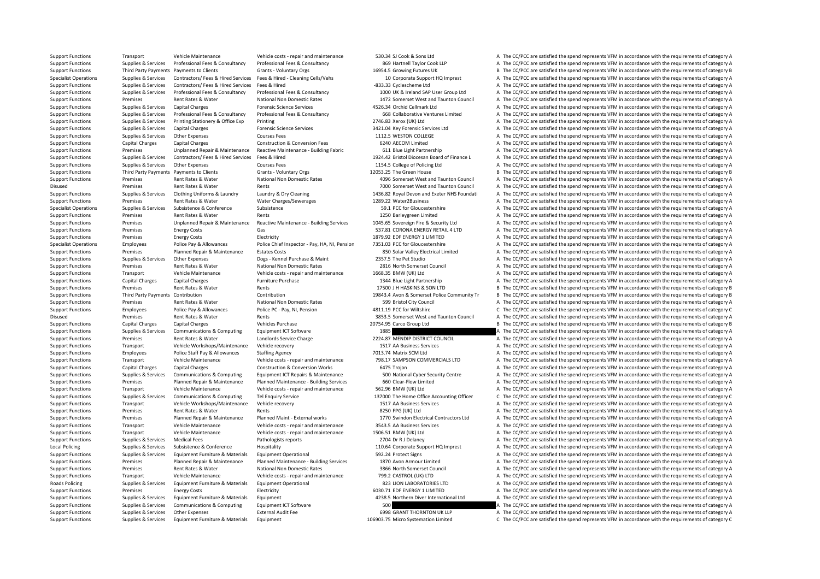Support Functions Transport Vehicle Maintenance Vehicle costs ‐ repair and maintenance 530.34 SJ Cook & Sons Ltd A The CC/PCC are satisfied the spend represents VFM in accordance with the requirements of category A Support Functions Supplies & Services Professional Fees & Consultancy Professional Fees & Consultancy Professional Fees & Consultancy Professional Fees & Consultancy 869 Hartnell Taylor Cook LLP A The CC/PCC are satisfied Support Functions Third Party Payments Payments to Clients Grants - Voluntary Orgs 16954.5 Growing Futures UK B The CC/PCC are satisfied the spend represents VFM in accordance with the requirements of category B Supplies & Services Contractors/ Fees & Hired Services For Services (Paper & Hired Services From Services From Services From Services From Service Contractors/ Fees & Hired Services From Service Contractors of category A T Support Functions Supplies & Services Contractors/ Fees & Hired Services Fees & Hired Services Fees & Hired Services Fees & Hired A The CC/PCC are satisfied the spend represents VFM in accordance with the requirements of c Support Functions Supplies & Services Professional Fees & Consultancy Professional Fees & Consultancy Professional Fees & Consultancy Professional Fees & Consultancy 1000 UK & Ireland SAP User Group Ltd A The CC/PCC are sa Support Functions Premises Rent Rates & Water National Non Domestic Rates 1472 Somerset West and Taunton Council A The CC/PCC are satisfied the spend represents VFM in accordance with the requirements of category A Support Functions Supplies & Services Capital Charges Forensic Science Services 4526.34 Orchid Cellmark Ltd A The CC/PCC are satisfied the spend represents VFM in accordance with the requirements of category A Support Functions Supplies & Services Professional Fees & Consultancy Professional Fees & Consultancy Professional Fees & Consultancy Professional Fees & Consultancy 668 Collaborative Ventures Limited A The CC/PCC are sati Support Functions Supplies & Services Printing Stationery & Office Exp Printing 2746.83 Xerox (UK) Ltd A The CC/PCC are satisfied the spend represents VFM in accordance with the requirements of category A Support Functions Supplies & Services Capital Charges Forensic Science Services Services 3421.04 Key Forensic Services Ltd A The CC/PCC are satisfied the spend represents VFM in accordance with the requirements of category Support Functions Supplies & Services Other Expenses Courses Fees 1112.5 WESTON COLLEGE A The CC/PCC are satisfied the spend represents VFM in accordance with the requirements of category A Support Functions Capital Charges Capital Charges Construction & Conversion Fees 6240 AECOM Limited A The CC/PCC are satisfied the spend represents VFM in accordance with the requirements of category A Support Functions Premises Unplanned Repair & Maintenance Reactive Maintenance - Building Fabric 611 Blue Light Partnership A The CC/PCC are satisfied the spend represents VFM in accordance with the requirements of categor Support Functions Supplies & Services Contractors/ Fees & Hired Services Fees & Hired Services Fees & Hired Services Fees & Hired Services Fees & Hired Services Fees & Hired Services Fees & Hired Services Fees & Hired Serv Support Functions Supplies & Services Other Expenses Courses Fees Courses Fees 1154.5 College of Policing Ltd A The CC/PCC are satisfied the spend represents VFM in accordance with the requirements of category A Support Functions Third Party Payments Payments to Clients Grants - Voluntary Orgs 12053.25 The Green House B The CC/PCC are satisfied the spend represents VFM in accordance with the requirements of category B Support Functions Premises Rent Rates & Water National Non Domestic Rates 4096 Somerset West and Taunton Council A The CC/PCC are satisfied the spend represents VFM in accordance with the requirements of category A Disused Premises Rent Rates & Water Rents Rents Rents Rents 7000 Somerset West and Taunton Council A The CC/PCC are satisfied the spend represents VFM in accordance with the requirements of category A Support Functions Supplies & Services Clothing Uniforms & Laundry Laundry Manufor Support of category A 1436.82 Royal Devon and Exeter NHS Foundati A The CC/PCC are satisfied the spend represents VFM in accordance with the Support Functions Premises Rent Rates & Water Water Charges/Sewerages 1289.22 Water2Business A The CC/PCC are satisfied the spend represents VFM in accordance with the requirements of category A Specialist Operations Supplies & Services Subsistence Subsistence Subsistence Subsistence Subsistence Subsistence Subsistence Subsistence Subsistence Subsistence Subsistence Subsistence Subsistence Subsistence Subsistence Support Functions Premises Rent Rates & Water Rents Rents Rents Rents Rents Rents Rents Rents 1250 Barleygreen Limited A The CC/PCC are satisfied the spend represents VFM in accordance with the requirements of category A Support Functions Premises Unplanned Repair & Maintenance Reactive Maintenance - Building Services 1045.65 Sovereign Fire & Security Ltd A The CC/PCC are satisfied the spend represents VFM in accordance with the requiremen Support Functions Premises Energy Costs Gas Gas Sand Costs Gas Sand Base of Corona ENERGY RETAIL 4 LTD A The CC/PCC are satisfied the spend represents VFM in accordance with the requirements of category A Support Functions Premises Energy Costs Electricity Electricity Electricity 1879.92 EDF ENERGY 1 LIMITED A The CC/PCC are satisfied the spend represents VFM in accordance with the requirements of category A Specialist Operations Employees Police Pay & Allowances Police Chief Inspector - Pay, HA, NI, Pensior 7351.03 PCC for Gloucestershire A The CC/PCC are satisfied the spend represents VFM in accordance with the requirements Support Functions Premises Planned Repair & Maintenance Estates Costs 850 Solar Valley Electrical Limited A The CC/PCC are satisfied the spend represents VFM in accordance with the requirements of category A Support Functions Supplies & Services Other Expenses Dogs - Kennel Purchase & Maint 2357.5 The Pet Studio A The CC/PCC are satisfied the spend represents VFM in accordance with the requirements of category A Support Functions Premises Rent Rates & Water National Non Domestic Rates 2816 North Somerset Council A The CC/PCC are satisfied the spend represents VFM in accordance with the requirements of category A Support Functions Transport Vehicle Maintenance Vehicle costs ‐ repair and maintenance 1668.35 BMW (UK) Ltd A The CC/PCC are satisfied the spend represents VFM in accordance with the requirements of category A Support Functions Capital Charges Capital Charges Furniture Purchase 1344 Blue Light Partnership A The CC/PCC are satisfied the spend represents VFM in accordance with the requirements of category A Support Functions Premises Rent Rates & Water Rents Rents Rents Rents 17500 J H HASKINS & SON LTD B The CC/PCC are satisfied the spend represents VFM in accordance with the requirements of category B Support Functions Third Party Payments Contribution Contribution Contribution 19843.4 Avon & Somerset Police Community Tr B The CC/PCC are satisfied the spend represents VFM in accordance with the requirements of category Support Functions Premises Rent Rates & Water National Non Domestic Rates 599 Bristol City Council A The CC/PCC are satisfied the spend represents VFM in accordance with the requirements of category A Support Functions Employees Police Pay & Allowances Police PC - Pay, NI, Pension 4811.19 PCC for Wiltshire C The CC/PCC are satisfied the spend represents VFM in accordance with the requirements of category C Disused Premises Rent Rates & Water Rents Rents Rents and Daunton Council A The CC/PCC are satisfied the spend represents VFM in accordance with the requirements of category A Support Functions Capital Charges Capital Charges Vehicles Purchase 20754.95 Carco Group Ltd B The CC/PCC are satisfied the spend represents VFM in accordance with the requirements of category B Support Functions Supplies & Services Communications & Computing Equipment ICT Software 1885 1885 A The CC/PCC are satisfied the spend represents VFM in accordance with the requirements of category A The CC/PCC are satisfi Support Functions Premises Rent Rates & Water Landlords Service Charge 2224.87 MENDIP DISTRICT COUNCIL A The CC/PCC are satisfied the spend represents VFM in accordance with the requirements of category A Support Functions Transport Vehicle Workshops/Maintenance Vehicle recovery 1517 AA Business Services A The CC/PCC are satisfied the spend represents VFM in accordance with the requirements of category A Support Functions Employees Police Staff Pay & Allowances Staffing Agency 7013.74 Matrix SCM Ltd A The CC/PCC are satisfied the spend represents VFM in accordance with the requirements of category A Support Functions Transport Vehicle Maintenance Vehicle costs - repair and maintenance 798.17 SAMPSON COMMERCIALS LTD A The CC/PCC are satisfied the spend represents VFM in accordance with the requirements of category A Support Functions Capital Charges Capital Charges Capital Charges Construction & Conversion Works Conversion Works 6475 Trojan A The CC/PCC are satisfied the spend represents VFM in accordance with the requirements of cate Support Functions Supplies & Services Communications & Computing Equipment ICT Repairs & Maintenance 500 National Cyber Security Centre A The CC/PCC are satisfied the spend represents VFM in accordance with the requirement Support Functions Premises Planned Repair & Maintenance Planned Maintenance - Building Services 660 Clear‐Flow Limited A The CC/PCC are satisfied the spend represents VFM in accordance with the requirements of category A Support Functions Transport Vehicle Maintenance Vehicle costs ‐ repair and maintenance 562.96 BMW (UK) Ltd A The CC/PCC are satisfied the spend represents VFM in accordance with the requirements of category A Support Functions Support Support Communications & Communications Communications Communications Communications Tel Enquiry Service The Home Office Accounting Office C. The CC/PCC are satisfied the spend represents VEM in a Support Functions Transport Vehicle Workshops/Maintenance Vehicle recovery 1517 AA Business Services A The CC/PCC are satisfied the spend represents VFM in accordance with the requirements of category A Support Functions Premises Rent Rates & Water Rents Rents Rents Basic Rents 8250 FPG (UK) Ltd A The CC/PCC are satisfied the spend represents VFM in accordance with the requirements of category A Support Functions Premises Planned Repair & Maintenance Planned Maint - External works 1770 Swindon Electrical Contractors Ltd A The CC/PCC are satisfied the spend represents VFM in accordance with the requirements of cate Support Functions Transport Vehicle Maintenance Vehicle costs ‐ repair and maintenance 3543.5 AA Business Services A The CC/PCC are satisfied the spend represents VFM in accordance with the requirements of category A Support Functions Transport Vehicle Maintenance Vehicle costs ‐ repair and maintenance 1506.51 BMW (UK) Ltd A The CC/PCC are satisfied the spend represents VFM in accordance with the requirements of category A Support Functions Supplies & Services Medical Fees Pathologists reports Pathologists reports 2704 Dr R J Delaney A The CC/PCC are satisfied the spend represents VFM in accordance with the requirements of category A Local Policing Supplies & Services Subsistence & Conference Hospitality Hospitality 110.64 Corporate Support HQ Imprest A The CC/PCC are satisfied the spend represents VFM in accordance with the requirements of category A Support Functions Supplies & Services Equipment Furniture & Materials Equipment Operational 592.24 Protect Signs A The CC/PCC are satisfied the spend represents VFM in accordance with the requirements of category A Support Functions Premises Planned Repair & Maintenance Planned Maintenance - Building Services 1870 Avon Armour Limited A The CC/PCC are satisfied the spend represents VFM in accordance with the requirements of category A Support Functions Premises Rent Rates & Water National Non Domestic Rates 3866 North Somerset Council A The CC/PCC are satisfied the spend represents VFM in accordance with the requirements of category A Support Functions Transport Vehicle Maintenance Vehicle costs ‐ repair and maintenance 799.2 CASTROL (UK) LTD A The CC/PCC are satisfied the spend represents VFM in accordance with the requirements of category A Roads Policing Supplies & Services Equipment Furniture & Materials Equipment Operational 823 LION LABORATORIES LTD A The CC/PCC are satisfied the spend represents VFM in accordance with the requirements of category A Support Functions Premises Energy Costs Electricity Electricity Electricity 6030.71 EDF ENERGY 1 LIMITED A The CC/PCC are satisfied the spend represents VFM in accordance with the requirements of category A Support Functions Supplies & Services Equipment Furniture & Materials Equipment 4238.5 Northern Diver International Ltd A The CC/PCC are satisfied the spend represents VFM in accordance with the requirements of category A Support Functions Supplies & Services Communications & Computing Equipment ICT Software 500 500 A The CC/PCC are satisfied the spend represents VFM in accordance with the requirements of category A Support Functions Supplies & Services Other Expenses External Audit Fee 6998 GRANT THORNTON UK LLP A The CC/PCC are satisfied the spend represents VFM in accordance with the requirements of category A Support Functions Supplies & Services Equipment Furniture & Materials Equipment 106903.75 Micro Systemation Limited C The CC/PCC are satisfied the spend represents VFM in accordance with the requirements of category C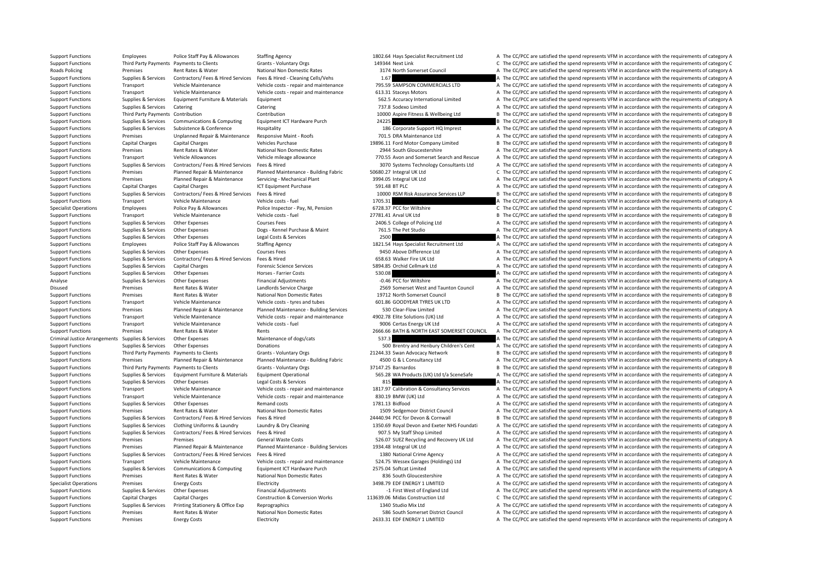Support Functions Employees Police Staff Pay & Allowances Staffing Agency 1802.64 Hays Specialist Recruitment Ltd A The CC/PCC are satisfied the spend represents VFM in accordance with the requirements of category A Support Functions Third Party Payments Payments to Clients Grants - Voluntary Orgs 149344 Next Link C The CC/PCC are satisfied the spend represents VFM in accordance with the requirements of category C Roads Policing Premises Rent Rates & Water National Non Domestic Rates 3174 North Somerset Council A The CC/PCC are satisfied the spend represents VFM in accordance with the requirements of category A Support Functions Supplies & Services Contractors/ Fees & Hired Services Fees & Hired - Cleaning Cells/Vehs 1.67 A The CC/PCC are satisfied the spend represents VFM in accordance with the requirements of category A Support Functions Transport Vehicle Maintenance Vehicle costs ‐ repair and maintenance 795.59 SAMPSON COMMERCIALS LTD A The CC/PCC are satisfied the spend represents VFM in accordance with the requirements of category A Support Functions Transport Vehicle Maintenance Vehicle costs ‐ repair and maintenance 613.31 Staceys Motors A The CC/PCC are satisfied the spend represents VFM in accordance with the requirements of category A Support Functions Supplies & Services Equipment Furniture & Materials Equipment 562.5 Accuracy International Limited A The CC/PCC are satisfied the spend represents VFM in accordance with the requirements of category A Support Functions Supplies & Services Catering Catering Catering Catering Catering Catering Catering Catering Catering Catering The COVEC are satisfied the spend represents VFM in accordance with the requirements of catego Support Functions Third Party Payments Contribution Contribution Contribution Contribution 10000 Aspire Fitness & Wellbeing Ltd B The CC/PCC are satisfied the spend represents VFM in accordance with the requirements of cat Support Functions Supplies & Services Communications & Computing Equipment ICT Hardware Purch 24225 2225 B The CC/PCC are satisfied the spend represents VFM in accordance with the requirements of category B Support Functions Supplies & Services Subsistence & Conference Hospitality Hospitality 186 Corporate Support HQ Imprest A The CC/PCC are satisfied the spend represents VFM in accordance with the requirements of category A Support Functions Premises Unplanned Repair & Maintenance Responsive Maint - Roofs 701.5 DRA Maintenance Ltd A The CC/PCC are satisfied the spend represents VFM in accordance with the requirements of category A Support Functions Capital Charges Capital Charges Vehicles Purchase Vehicles Purchase 19896.11 Ford Motor Company Limited B The CC/PCC are satisfied the spend represents VFM in accordance with the requirements of category Support Functions Premises Rent Rates & Water National Non Domestic Rates 2944 South Gloucestershire A The CC/PCC are satisfied the spend represents VFM in accordance with the requirements of category A Support Functions Transport Vehicle Allowances Vehicle mileage allowance 770.55 Avon and Somerset Search and Rescue A The CC/PCC are satisfied the spend represents VFM in accordance with the requirements of category A Support Functions Supplies & Services Contractors/Fees & Hired Services Fees & Hired Services Fees & Hired Services Fees & Hired Services Fees & Hired Services Fees & Hired Services Fees & Hired Services Serviced Material Support Functions Premises Planned Repair & Maintenance Planned Maintenance - Building Fabric 50680.27 Integral UK Ltd C The CC/PCC are satisfied the spend represents VFM in accordance with the requirements of category C Support Functions Premises Planned Repair & Maintenance Servicing • Mechanical Plant 3994.05 Integral UK Ltd A The CC/PCC are satisfied the spend represents VFM in accordance with the requirements of category A Support Functions Capital Charges Capital Charges ICT Equipment Purchase 591.48 BT PLC A The CC/PCC are satisfied the spend represents VFM in accordance with the requirements of category A Support Functions Supplies & Services Contractors/ Fees & Hired Services Fees & Hired Services Fees & Hired Services Fees & Hired Services (Services Properties of category B The CC/PCC are satisfied the spend represents VF Support Functions Transport Vehicle Maintenance Vehicle costs ‐ fuel 1705.31 1705.31 A The CC/PCC are satisfied the spend represents VFM in accordance with the requirements of category A Specialist Operations Employees Police Pay & Allowances Police Inspector - Pay, NI, Pension 6728.37 PCC for Wiltshire C The CC/PCC are satisfied the spend represents VFM in accordance with the requirements of category C Support Functions Transport Vehicle Maintenance Vehicle costs – fuel 27781.41 Arval UK Itd B The CC/PCC are satisfied the spend represents VFM in accordance with the requirements of category B Support Functions Supplies & Services Other Expenses 2001ses Fees 2406.5 College of Policing Ltd A The CC/PCC are satisfied the spend represents VFM in accordance with the requirements of category A Support Functions Supplies & Services Other Expenses Dogs - Kennel Purchase & Maint 761.5 The Pet Studio A The CC/PCC are satisfied the spend represents VFM in accordance with the requirements of category A Support Functions Supplies & Services Other Expenses Legal Costs & Services 2500 2500 A The CC/PCC are satisfied the spend represents VFM in accordance with the requirements of category A Support Functions Employees Police Staff Pay & Allowances Staffing Agency 1821.54 Hays Specialist Recruitment Ltd A The CC/PCC are satisfied the spend represents VFM in accordance with the requirements of category A Support Functions Supplies & Services Other Expenses Courses Fees Courses Fees 9450 Above Difference Ltd A The CC/PCC are satisfied the spend represents VFM in accordance with the requirements of category A Support Functions Supplies & Services Contractors/ Fees & Hired Services Fees & Hired Services Fees & Hired 658.63 Walker Fire UK Ltd A The CC/PCC are satisfied the spend represents VFM in accordance with the requirements Support Functions Supplies & Services Capital Charges Forensic Science Services Forensic Science Services 5894.85 Orchid Cellmark Ltd A The CC/PCC are satisfied the spend represents VFM in accordance with the requirements Support Functions Supplies & Services Other Expenses Horses ‐ Farrier Costs 530.08 A The CC/PCC are satisfied the spend represents VFM in accordance with the requirements of category A Analyse Supplies & Services Other Expenses Financial Adjustments – 0.46 PCC for Wiltshire A The CC/PCC are satisfied the spend represents VFM in accordance with the requirements of category A Disused Premises Rent Rates & Water Landlords Service Charge 2569 Somerset West and Taunton Council A The CC/PCC are satisfied the spend represents VFM in accordance with the requirements of category A Support Functions Premises Rent Rates & Water National Non Domestic Rates 19712 North Somerset Council B The CC/PCC are satisfied the spend represents VFM in accordance with the requirements of category B Support Functions Transport Vehicle Maintenance Vehicle costs ‐ tyres and tubes 601.86 GOODYEAR TYRES UK LTD A The CC/PCC are satisfied the spend represents VFM in accordance with the requirements of category A Support Functions Premises Planned Repair & Maintenance Planned Maintenance - Building Services 530 Clear‐Flow Limited A The CC/PCC are satisfied the spend represents VFM in accordance with the requirements of category A Support Functions Transport Vehicle Maintenance Vehicle costs ‐ repair and maintenance 4902.78 Elite Solutions (UK) Ltd A The CC/PCC are satisfied the spend represents VFM in accordance with the requirements of category A Support Functions Transport Vehicle Maintenance Vehicle costs ‐ fuel vehicle costs ‐ fuel 9006 Certas Energy UK Ltd A The CC/PCC are satisfied the spend represents VFM in accordance with the requirements of category A Support Functions Premises Rent Rates & Water Rents Rents Rents Rents 2666.66 BATH & NORTH EAST SOMERSET COUNCIL A The CC/PCC are satisfied the spend represents VFM in accordance with the requirements of category A Criminal Justice Arrangements Supplies & Services Other Expenses Maintenance of dogs/cats 537.3 537.3 A The CC/PCC are satisfied the spend represents VFM in accordance with the requirements of category A Support Functions Supplies & Services Other Expenses Donations Donations Donations Support the Support and Henbury Children's Cent A The CC/PCC are satisfied the spend represents VFM in accordance with the requirements of Support Functions Third Party Payments Payments to Clients Grants - Voluntary Orgs 21244.33 Swan Advocacy Network B The CC/PCC are satisfied the spend represents VFM in accordance with the requirements of category B Support Functions Premises Planned Repair & Maintenance Planned Maintenance - Building Fabric 4500 G & L Consultancy Ltd A The CC/PCC are satisfied the spend represents VFM in accordance with the requirements of category A Support Functions Third Party Payments Payments to Clients Grants - Voluntary Orgs 37147.25 Barnardos B The CC/PCC are satisfied the spend represents VFM in accordance with the requirements of category B Support Functions Supplies & Services Equipment Furniture & Materials Equipment Operational Support S65.28 WA Products (UK) Ltd t/a SceneSafe A The CC/PCC are satisfied the spend represents VFM in accordance with the requi Support Functions Supplies & Services Other Expenses Legal Costs & Services 85 A The CC/PCC are satisfied the spend represents VFM in accordance with the requirements of category A Support Functions Transport Vehicle Maintenance Vehicle costs - repair and maintenance 1817.97 Calibration & Consultancy Services A The CC/PCC are satisfied the spend represents VFM in accordance with the requirements of c Support Functions Transport Vehicle Maintenance Vehicle costs ‐ repair and maintenance 830.19 BMW (UK) Ltd A The CC/PCC are satisfied the spend represents VFM in accordance with the requirements of category A Support Functions Supplies & Services Other Expenses Remand costs Remand costs 1781.13 Bidfood A The CC/PCC are satisfied the spend represents VFM in accordance with the requirements of category A Support Functions Premises Rent Rates & Water National Non Domestic Rates 1509 Sedgemoor District Council A The CC/PCC are satisfied the spend represents VFM in accordance with the requirements of category A Support Functions Supplies & Services Contractors/ Fees & Hired Services Fees & Hired 24440.94 PCC for Devon & Cornwall B The CC/PCC are satisfied the spend represents VFM in accordance with the requirements of category B Supplies & Services Clothing Uniforms & Laundry Laundry Laundry & Dry Cleaning 1550.69 Royal Devon and Exeter NHS Foundati A The CC/PCC are satisfied the spend represents VFM in accordance with the requirements of category Support Functions Supplies & Services Contractors/ Fees & Hired Services Fees & Hired 907.5 My Staff Shop Limited A The CC/PCC are satisfied the spend represents VFM in accordance with the requirements of category A Support Functions Premises Premises Premises Seneral Waste Costs S26.07 SUEZ Recycling and Recovery UK Ltd A The CC/PCC are satisfied the spend represents VFM in accordance with the requirements of category A Support Functions Premises Planned Repair & Maintenance Planned Maintenance - Building Services 1934.48 Integral UK Ltd A The CC/PCC are satisfied the spend represents VFM in accordance with the requirements of category A Support Functions Supplies & Services Contractors/ Fees & Hired Services Fees & Hired 1380 National Crime Agency A The CC/PCC are satisfied the spend represents VFM in accordance with the requirements of category A Support Functions Transport Vehicle Maintenance Vehicle costs - repair and maintenance S24.75 Wessex Garages (Holdings) Ltd A The CC/PCC are satisfied the spend represents VFM in accordance with the requirements of categor Support Functions Supplies & Services Communications & Computing Equipment ICT Hardware Purch 2575.04 Softcat Limited A The CC/PCC are satisfied the spend represents VFM in accordance with the requirements of category A Support Functions Premises Rent Rates & Water National Non Domestic Rates 836 South Gloucestershire A The CC/PCC are satisfied the spend represents VFM in accordance with the requirements of category A Specialist Operations Premises Finergy Costs Electricity Electricity 3498.79 FDF ENERGY 1 LIMITED A The CC/PCC are satisfied the spend represents VFM in accordance with the requirements of category A Support Functions Supplies & Services Other Expenses Financial Adjustments Financial Adjustments expended a The CC/PCC are satisfied the spend represents VFM in accordance with the requirements of category A Support Functions Capital Charges Capital Charges Construction & Conversion Works 113639.06 Midas Construction Ltd C The CC/PCC are satisfied the spend represents VFM in accordance with the requirements of category C Support Functions Supplies & Services Printing Stationery & Office Exp Reprographics Reprographics 1340 Studio Mix Ltd A The CC/PCC are satisfied the spend represents VFM in accordance with the requirements of category A Support Functions Premises Rent Rates & Water National Non Domestic Rates 586 South Somerset District Council A The CC/PCC are satisfied the spend represents VFM in accordance with the requirements of category A Support Functions Premises Energy Costs Electricity Electricity 2633.31 EDF ENERGY 1 LIMITED A The CC/PCC are satisfied the spend represents VFM in accordance with the requirements of category A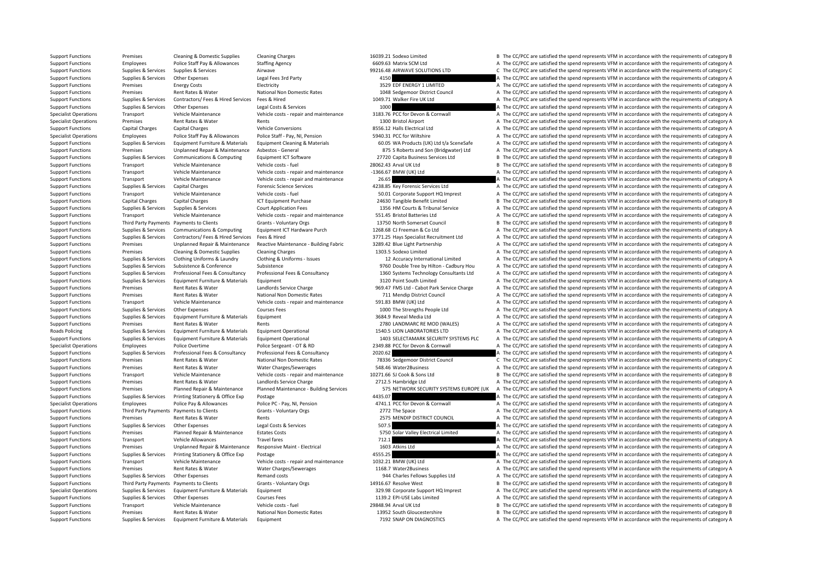Support Functions Premises Cleaning & Domestic Supplies Cleaning Charges Cleaning Charges 16039.21 Sodexo Limited B The CC/PCC are satisfied the spend represents VFM in accordance with the requirements of category B Support Functions Employees Police Staff Pay & Allowances Staffing Agency 6609.63 Matrix SCM Ltd A The CC/PCC are satisfied the spend represents VFM in accordance with the requirements of category A The CC/PCC are satisfie Support Functions Supplies Services Supplies & Services Airwave Airwave 99216.48 AIRWAVE SOLUTIONS LTD C The CC/PCC are satisfied the spend represents VFM in accordance with the requirements of category C Support Functions Supplies Services Other Expenses Legal Fees 3rd Party 4150 A The CC/PCC are satisfied the spend represents VFM in accordance with the requirements of category A Support Functions Premises Energy Costs Electricity Electricity and the COSTS Electricity and the Spend represents VFM in accordance with the requirements of category A Support Functions Premises Rent Rates & Water National Non Domestic Rates 1048 Sedgemoor District Council A The CC/PCC are satisfied the spend represents VFM in accordance with the requirements of category A Support Functions Supplies & Services Contractors/ Fees & Hired Services Fees & Hired 1049.71 Walker Fire UK Ltd A The CC/PCC are satisfied the spend represents VFM in accordance with the requirements of category A Support Functions Supplies & Services Other Expenses Legal Costs & Services 1000 1000 A The CC/PCC are satisfied the spend represents VFM in accordance with the requirements of category A Specialist Operations Transport Vehicle Maintenance Vehicle costs - repair and maintenance 3183.76 PCC for Devon & Cornwall A The CC/PCC are satisfied the spend represents VFM in accordance with the requirements of categor Specialist Operations Premises Rent Rates & Water Rents Rents Rents Rents Rents Rents Rents Rent Rents Rent Rents 1300 Bristol Airport A The CC/PCC are satisfied the spend represents VFM in accordance with the requirements Support Functions Capital Charges Capital Charges Vehicle Conversions 8556.12 Halls Electrical Ltd A The CC/PCC are satisfied the spend represents VFM in accordance with the requirements of category A Specialist Operations Employees Police Staff Pay & Allowances Police Staff - Pay NI, Pension 5940.31 PCC for Wiltshire A The CC/PCC are satisfied the spend represents VFM in accordance with the requirements of category A Supplies & Services Equipment Furniture & Materials Equipment Cleaning & Materials and Equipment Cleaning & Materials 60.05 WA Products (UK) Ltd t/a SceneSafe A The CC/PCC are satisfied the spend represents VFM in accordan Support Functions Premises Unplanned Repair & Maintenance Asbestos ‐ General 875 S Roberts and Son (Bridgwater) Ltd A The CC/PCC are satisfied the spend represents VFM in accordance with the requirements of category A Support Functions Supplies & Services Communications & Computing Equipment ICT Software 27720 Capita Business Services Ltd B The CC/PCC are satisfied the spend represents VFM in accordance with the requirements of category Support Functions Transport Vehicle Maintenance Vehicle costs ‐ fuel Vehicle costs ‐ fuel 28062.43 Arval UK Ltd B The CC/PCC are satisfied the spend represents VFM in accordance with the requirements of category B Support Functions Transport Vehicle Maintenance Vehicle costs ‐ repair and maintenance – 1366.67 BMW (UK) Ltd A The CC/PCC are satisfied the spend represents VFM in accordance with the requirements of category A Support Functions Transport Vehicle Maintenance Vehicle costs ‐ repair and maintenance 26.65 A The CC/PCC are satisfied the spend represents VFM in accordance with the requirements of category A Support Functions Supplies & Services Capital Charges Forensic Science Services A The Support Care at the CC/PCC are satisfied the spend represents VFM in accordance with the requirements of category A Support Functions Transport Vehicle Maintenance Vehicle costs – fuel Support 50.01 Corporate Support HQ Imprest A The CC/PCC are satisfied the spend represents VFM in accordance with the requirements of category A Support Functions Capital Charges Capital Charges ICT Equipment Purchase 24630 Tangible Benefit Limited B The CC/PCC are satisfied the spend represents VFM in accordance with the requirements of category B Support Functions Supplies & Services Supplies & Services Court Application Fees 1356 HM Courts & Tribunal Service A The CC/PCC are satisfied the spend represents VFM in accordance with the requirements of category A Support Functions Transport Vehicle Maintenance Vehicle costs ‐ repair and maintenance 551.45 Bristol Batteries Ltd A The CC/PCC are satisfied the spend represents VFM in accordance with the requirements of category A Support Functions Third Party Payments Payments to Clients Grants - Voluntary Orgs 13750 North Somerset Council B The CC/PCC are satisfied the spend represents VFM in accordance with the requirements of category B Support Functions Supplies & Services Communications & Computing Equipment ICT Hardware Purch 1268.68 CJ Freeman & Co Ltd A The CC/PCC are satisfied the spend represents VFM in accordance with the requirements of category Supplies & Services Contractors/ Fees & Hired Services Fees & Hired Contractors/ Fees & Hired Services Fees & Hired Services Fees & Hired 3771.25 Havs Specialist Recruitment Ltd A The CC/PCC are satisfied the spend represe Support Functions Premises Unplanned Repair & Maintenance Reactive Maintenance - Building Fabric 3289.42 Blue Light Partnership A The CC/PCC are satisfied the spend represents VFM in accordance with the requirements of cat Support Functions Premises Cleaning & Domestic Supplies Cleaning Charges 1303.5 Sodexo Limited A The CC/PCC are satisfied the spend represents VFM in accordance with the requirements of category A Supplies & Services Clothing Uniforms & Laundry Clothing & Uniforms - Issues 12 Accuracy International Limited A The CC/PCC are satisfied the spend represents VFM in accordance with the requirements of category A Support Functions Supplies & Services Subsistence & Conference Subsistence Subsistence Subsistence Subsistence Supplies & Services Professional Fees & Consultancy Professional Fees & Consultancy Professional Fees & Consultancy Professional Fees & Consultancy 1360 Systems Technology Consultants I td A The CC/PCC are satisfied the sp Support Functions Supplies & Services Equipment Eurniture & Materials Equipment 3120 Point South Limited A The CC/PCC are satisfied the spend represents VFM in accordance with the requirements of category A Support Functions Premises Rent Rates & Water Landlords Service Charge 969.47 FMS Ltd - Cabot Park Service Charge A The CC/PCC are satisfied the spend represents VFM in accordance with the requirements of category A Support Functions Premises Rent Rates & Water National Non Domestic Rates 711 Mendip District Council A The CC/PCC are satisfied the spend represents VFM in accordance with the requirements of category A Support Functions Transport Vehicle Maintenance Vehicle costs ‐ repair and maintenance 591.83 BMW (UK) Ltd A The CC/PCC are satisfied the spend represents VFM in accordance with the requirements of category A Support Functions Supplies Services Other Expenses Courses Fees Courses Fees 1000 The Strengths People Ltd A The CC/PCC are satisfied the spend represents VFM in accordance with the requirements of category A Support Functions Supplies & Services Equipment Furniture & Materials Equipment and a The Servent Materials and the Service are satisfied the spend represents VFM in accordance with the requirements of category A Support Functions Premises Rent Rates & Water Rents Rents Rents 2780 LANDMARC RE MOD (WALES) A The CC/PCC are satisfied the spend represents VFM in accordance with the requirements of category A Roads Policing Supplies & Services Equipment Furniture & Materials Equipment Operational 1540.5 LION LABORATORIES LTD A The CC/PCC are satisfied the spend represents VFM in accordance with the requirements of category A Supplies & Services Equipment Furniture & Materials Equipment Operational and the CALCA are setternal service and the CC/PCC are satisfied the spend represents VFM in accordance with the requirements of category A Specialist Operations Employees Police Overtime Police Sergeant - OT & RD 2349.88 PCC for Devon & Cornwall A The CC/PCC are satisfied the spend represents VFM in accordance with the requirements of category A Support Functions Supplies & Services Professional Fees & Consultancy Professional Fees & Consultancy 2020.62 A The CC/PCC are satisfied the spend represents VFM in accordance with the requirements of category A Support Functions Premises Rent Rates & Water National Non Domestic Rates 78336 Sedgemoor District Council C The CC/PCC are satisfied the spend represents VFM in accordance with the requirements of category C Support Functions Premises Rent Rates & Water Water Charges/Sewerages 548.46 Water2Business A The CC/PCC are satisfied the spend represents VFM in accordance with the requirements of category A Support Functions Transport Vehicle Maintenance Vehicle costs ‐ repair and maintenance 10271.66 SJ Cook & Sons Ltd B The CC/PCC are satisfied the spend represents VFM in accordance with the requirements of category B Support Functions Premises Rent Rates & Water Landlords Service Charge Ltd 2712.5 Hambridge Ltd A The CC/PCC are satisfied the spend represents VFM in accordance with the requirements of category A Support Functions Premises Planned Repair & Maintenance Planned Maintenance - Building Services 575 NETWORK SECURITY SYSTEMS EUROPE (UK A The CC/PCC are satisfied the spend represents VFM in accordance with the requirement Support Functions Supplies & Services Printing Stationery & Office Exp Postage 4435.07 4435.07 A The CC/PCC are satisfied the spend represents VFM in accordance with the requirements of category A Specialist Operations Employees Police Pay & Allowances Police PC - Pay, NI, Pension 4741.1 PCC for Devon & Cornwall A The CC/PCC are satisfied the spend represents VFM in accordance with the requirements of category A Support Functions Third Party Payments Payments to Clients Grants - Voluntary Orgs 2772 The Space A The CC/PCC are satisfied the spend represents VFM in accordance with the requirements of category A Support Functions Premises Rent Rates & Water Rents Rents Rents Rents 2575 MENDIP DISTRICT COUNCIL A The CC/PCC are satisfied the spend represents VFM in accordance with the requirements of category A Support Functions Supplies & Services Other Expenses Legal Costs & Services 507.5 A The CC/PCC are satisfied the spend represents VFM in accordance with the requirements of category A Support Functions Premises Planned Repair & Maintenance Estates Costs 5750 Solar Valley Electrical Limited A The CC/PCC are satisfied the spend represents VFM in accordance with the requirements of category A Support Functions Transport Vehicle Allowances Travel fares Travel fares 712.1 A The CC/PCC are satisfied the spend represents VFM in accordance with the requirements of category A Support Functions Premises Unplanned Repair & Maintenance Responsive Maint - Electrical 1603 Atkins Ltd A The CC/PCC are satisfied the spend represents VFM in accordance with the requirements of category A Support Functions Supplies & Services Printing Stationery & Office Exp Postage 4555.25 4555.25 A The CC/PCC are satisfied the spend represents VFM in accordance with the requirements of category A Support Functions Transport Vehicle Maintenance Vehicle costs ‐ repair and maintenance 1032.21 BMW (UK) Ltd A The CC/PCC are satisfied the spend represents VFM in accordance with the requirements of category A Support Functions Premises Rent Rates & Water Water Charges/Sewerages 1168.7 Water2Business A The CC/PCC are satisfied the spend represents VFM in accordance with the requirements of category A Support Functions Supplies & Services Other Expenses Remand costs Remand costs 944 Charles Fellows Supplies Ltd A The CC/PCC are satisfied the spend represents VFM in accordance with the requirements of category A Support Functions Third Party Payments Payments to Clients Grants - Voluntary Orgs 14916.67 Resolve West B The CC/PCC are satisfied the spend represents VFM in accordance with the requirements of category B Specialist Operations Supplies & Services Equipment Furniture & Materials Equipment and a The Support HQ Imprest A The CC/PCC are satisfied the spend represents VFM in accordance with the requirements of category A Support Functions Supplies & Services Other Expenses Courses Fees Courses Fees 1139.2 EPI‐USE Labs Limited A The CC/PCC are satisfied the spend represents VFM in accordance with the requirements of category A Support Functions Transport Vehicle Maintenance Vehicle costs ‐ fuel 29848.94 Arval UK Ltd B The CC/PCC are satisfied the spend represents VFM in accordance with the requirements of category B Support Functions Premises Rent Rates & Water National Non Domestic Rates 13952 South Gloucestershire B The CC/PCC are satisfied the spend represents VFM in accordance with the requirements of category B Support Functions Supplies & Services Equipment Furniture & Materials Equipment extent and the materials and the Support The CC/PCC are satisfied the spend represents VFM in accordance with the requirements of category A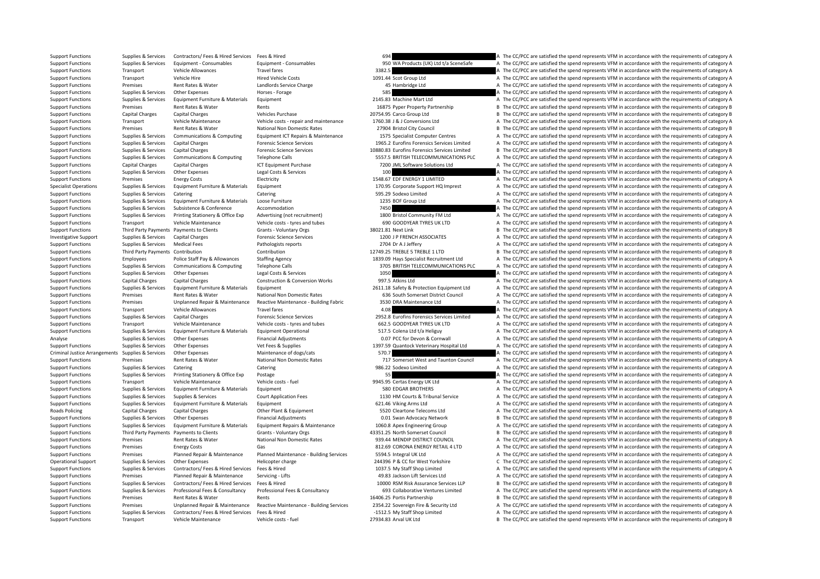Support Functions Supplies & Services Contractors/ Fees & Hired Services Fees & Hired 694 694 A The CC/PCC are satisfied the spend represents VFM in accordance with the requirements of category A Support Functions Supplies & Services Equipment - Consumables Equipment - Consumables Equipment - Consumables<br>
Travel fares Travel fares Travel fares and the CONCES CONSULT A The CC/PCC are satisfied the spend represents V Support Functions Transport Vehicle Allowances Travel fares 3382.5 A The CC/PCC are satisfied the spend represents VFM in accordance with the requirements of category A Support Functions Transport Vehicle Hire Hire Hired Vehicle Costs 1091.44 Scot Group Ltd A The CC/PCC are satisfied the spend represents VFM in accordance with the requirements of category A Support Functions Premises Rent Rates & Water Landlords Service Charge 45 Hambridge Ltd A The CC/PCC are satisfied the spend represents VFM in accordance with the requirements of category A Support Functions Supplies & Services Other Expenses Horses - Forage Horses - Forage 585 A The CC/PCC are satisfied the spend represents VFM in accordance with the requirements of category A Support Functions Supplies & Services Equipment Furniture & Materials Equipment 2145.83 Machine Mart Ltd A The CC/PCC are satisfied the spend represents VFM in accordance with the requirements of category A Support Functions Premises Rent Rates & Water Rents Rents Rents and Rents and the COPCC are satisfied the spend represents VFM in accordance with the requirements of category B and the requirements of category B Support Functions Capital Charges Capital Charges Vehicles Purchase 20754.95 Carco Group Ltd B The CC/PCC are satisfied the spend represents VFM in accordance with the requirements of category B Support Functions Transport Vehicle Maintenance Vehicle costs - repair and maintenance 1760.38 J & J Conversions Ltd A The CC/PCC are satisfied the spend represents VFM in accordance with the requirements of category A Support Functions Premises Rent Rates & Water National Non Domestic Rates 27904 Bristol City Council B The CC/PCC are satisfied the spend represents VFM in accordance with the requirements of category B Supplies & Services Communications & Computing Equipment ICT Repairs & Maintenance 1575 Specialist Computer Centres A The CC/PCC are satisfied the spend represents VFM in accordance with the requirements of category A Support Functions Supplies & Services Capital Charges Forensic Science Services 1965.2 Eurofins Forensics Services Limited A The CC/PCC are satisfied the spend represents VFM in accordance with the requirements of category Support Functions Supplies & Services Capital Charges Forensic Science Services 10880.83 Eurofins Forensics Services Limited B The CC/PCC are satisfied the spend represents VFM in accordance with the requirements of catego Support Functions Supplies & Services Communications & Computing Telephone Calls 5557.5 BRITISH TELECOMMUNICATIONS PLC A The CC/PCC are satisfied the spend represents VFM in accordance with the requirements of category A Support Functions Capital Charges Capital Charges ICT Equipment Purchase 7200 JML Software Solutions Ltd A The CC/PCC are satisfied the spend represents VFM in accordance with the requirements of category A Support Functions Supplies & Services Other Expenses Legal Costs & Services 100 A The CC/PCC are satisfied the spend represents VFM in accordance with the requirements of category A Support Functions Premises Energy Costs Electricity Electricity and the COVEC are satisfied the spend represents VFM in accordance with the requirements of category A Specialist Operations Supplies & Services Equipment Furniture & Materials Equipment 170.95 Corporate Support HQ Imprest A The CC/PCC are satisfied the spend represents VFM in accordance with the requirements of category A Support Functions Supplies & Services Catering Catering Catering Catering Catering Catering Catering Catering Catering Catering Support Support A The CC/PCC are satisfied the spend represents VFM in accordance with the req Support Functions Supplies & Services Equipment Furniture & Materials Loose Furniture 1235 BOF Group Ltd A The CC/PCC are satisfied the spend represents VFM in accordance with the requirements of category A Support Functions Supplies & Services Subsistence  $\alpha$  Accommodation Accommodation 7450 A The CC/PCC are satisfied the spend represents VFM in accordance with the requirements of category A Support Functions Supplies & Services Printing Stationery & Office Exp Advertising (not recruitment) 1800 Bristol Community FM Ltd A The CC/PCC are satisfied the spend represents VFM in accordance with the requirements of Support Functions Transport Vehicle Maintenance Vehicle costs – tyres and tubes 690 GOODYEAR TYRES UK LTD A The CC/PCC are satisfied the spend represents VFM in accordance with the requirements of category A Support Functions Third Party Payments Payments to Clients Grants - Voluntary Orgs 38021.81 Next Link B The CC/PCC are satisfied the spend represents VFM in accordance with the requirements of category B Investigative Support Supplies & Services Capital Charges Forensic Science Services 1200 J P FRENCH ASSOCIATES A The CC/PCC are satisfied the spend represents VFM in accordance with the requirements of category A Support Functions Supplies & Services Medical Fees Pathologists reports Pathologists reports 2704 Dr A J Jeffery A The CC/PCC are satisfied the spend represents VFM in accordance with the requirements of category A Support Functions Third Party Payments Contribution 12749.25 TREBLE 5 TREBLE 5 TREBLE 5 TREBLE 1 LTD B The CC/PCC are satisfied the spend represents VFM in accordance with the requirements of category B Support Functions Employees Police Staff Pay & Allowances Staffing Agency 1839.09 Hays Specialist Recruitment Ltd A The CC/PCC are satisfied the spend represents VFM in accordance with the requirements of category A Support Functions Supplies & Services Communications & Computing Telephone Calls 3705 BRITISH TELECOMMUNICATIONS PLC A The CC/PCC are satisfied the spend represents VFM in accordance with the requirements of category A Support Functions Supplies & Services Other Expenses Legal Costs & Services 1050 1050 A The CC/PCC are satisfied the spend represents VFM in accordance with the requirements of category A Support Functions Capital Charges Capital Charges Construction & Conversion Works 997.5 Atkins Ltd A The CC/PCC are satisfied the spend represents VFM in accordance with the requirements of category A Support Functions Supplies & Services Equipment Furniture & Materials Equipment 2611.18 Safety & Protection Equipment Ltd A The CC/PCC are satisfied the spend represents VFM in accordance with the requirements of category Support Functions Premises Rent Rates & Water National Non Domestic Rates 636 South Somerset District Council A The CC/PCC are satisfied the spend represents VFM in accordance with the requirements of category A Support Functions Premises Unplanned Repair & Maintenance Reactive Maintenance - Building Fabric 3530 DRA Maintenance Ltd A The CC/PCC are satisfied the spend represents VFM in accordance with the requirements of category Support Functions Transport Vehicle Allowances Travel fares Travel fares A The CC/PCC are satisfied the spend represents VFM in accordance with the requirements of category A Support Functions Supplies & Services Capital Charges Forensic Science Services 2952.8 Eurofins Forensics Services Limited A The CC/PCC are satisfied the spend represents VFM in accordance with the requirements of category Support Functions Transport Vehicle Maintenance Vehicle costs ‐ tyres and tubes 662.5 GOODYEAR TYRES UK LTD A The CC/PCC are satisfied the spend represents VFM in accordance with the requirements of category A Support Functions Supplies & Services Equipment Furniture & Materials Equipment Operational 517.5 Colena Ltd t/a Heliguy A The CC/PCC are satisfied the spend represents VFM in accordance with the requirements of category A Analyse Supplies & Services Other Expenses Financial Adjustments Financial Adjustments 0.07 PCC for Devon & Cornwall A The CC/PCC are satisfied the spend represents VFM in accordance with the requirements of category A Support Functions Supplies & Services Other Expenses Vet Fees & Supplies Vet Fees & Supplies 1397.59 Quantock Veterinary Hospital Ltd A The CC/PCC are satisfied the spend represents VFM in accordance with the requirements Criminal Justice Arrangements Supplies & Services Other Expenses Maintenance of dogs/cats 570.7 570.7 A The CC/PCC are satisfied the spend represents VFM in accordance with the requirements of category A Support Functions Premises Rent Rates & Water National Non Domestic Rates 717 Somerset West and Taunton Council A The CC/PCC are satisfied the spend represents VFM in accordance with the requirements of category A Support Functions Supplies & Services Catering Catering Catering Catering Catering Catering Catering Catering Catering Catering Catering Catering S86.22 Sodexo Limited A The CC/PCC are satisfied the spend represents VFM in Support Functions Supplies & Services Printing Stationery & Office Exp Postage 55 55 5 5 5 5 5 5 5 5 4 The CC/PCC are satisfied the spend represents VFM in accordance with the requirements of category A Support Functions Transport Vehicle Maintenance Vehicle costs - fuel 9945.95 Certas Energy UK Ltd A The CC/PCC are satisfied the spend represents VFM in accordance with the requirements of category A Support Functions Supplies & Services Equipment Furniture & Materials Equipment 580 EDGAR BROTHERS A The CC/PCC are satisfied the spend represents VFM in accordance with the requirements of category A Support Functions Supplies & Services Supplies & Services Court Application Fees 1130 HM Courts & Tribunal Service A The CC/PCC are satisfied the spend represents VFM in accordance with the requirements of category A Support Functions Supplies & Services Equipment Furniture & Materials Equipment equipment 621.46 Viking Arms Ltd A The CC/PCC are satisfied the spend represents VFM in accordance with the requirements of category A Roads Policing Capital Charges Capital Charges Other Plant & Equipment 5520 Cleartone Telecoms Ltd A The CC/PCC are satisfied the spend represents VFM in accordance with the requirements of category A Support Functions Supplies & Services Other Expenses Financial Adjustments Financial Adjustments 0.01 Swan Advocacy Network B The CC/PCC are satisfied the spend represents VFM in accordance with the requirements of categor Support Functions Supplies & Services Equipment Furniture & Materials Equipment Repairs & Maintenance 1060.8 Apex Engineering Group A The CC/PCC are satisfied the spend represents VFM in accordance with the requirements of Support Functions Third Party Payments Payments to Clients Grants - Voluntary Orgs 43351.25 North Somerset Council B The CC/PCC are satisfied the spend represents VFM in accordance with the requirements of category B Support Functions Premises Rent Rates & Water National Non Domestic Rates 939.44 MENDIP DISTRICT COUNCIL A The CC/PCC are satisfied the spend represents VFM in accordance with the requirements of category A Support Functions Premises Energy Costs Gas Gas Bases and the CORONA ENERGY RETAIL 4 LTD A The CC/PCC are satisfied the spend represents VFM in accordance with the requirements of category A Support Functions Premises Planned Repair & Maintenance Planned Maintenance - Building Services 5594.5 Integral UK Ltd A The CC/PCC are satisfied the spend represents VFM in accordance with the requirements of category A Operational Support Supplies & Services Other Expenses Helicopter charge Helicopter charge 244396 P & CC for West Yorkshire C The CC/PCC are satisfied the spend represents VFM in accordance with the requirements of categor Support Functions Supplies & Services Contractors/ Fees & Hired Services Fees & Hired 1037.5 My Staff Shop Limited A The CC/PCC are satisfied the spend represents VFM in accordance with the requirements of category A Support Functions Premises Planned Repair & Maintenance Servicing - Lifts 49.83 Jackson Lift Services Ltd A The CC/PCC are satisfied the spend represents VFM in accordance with the requirements of category A Support Functions Supplies & Services Contractors/ Fees & Hired Services Fees & Hired Services Fees & Hired Services Fees & Hired Services (Services Propertive of category B The CC/PCC are satisfied the spend represents VF Support Functions Supplies & Services Professional Fees & Consultancy Professional Fees & Consultancy Professional Fees & Consultancy Professional Fees & Consultancy 693 Collaborative Ventures Limited A The CC/PCC are sati Support Functions Premises Rent Rates & Water Rents Rents Rents Rent Rents Rent Rents Rent Rents 16406.25 Portis Partnership B The CC/PCC are satisfied the spend represents VFM in accordance with the requirements of catego Support Functions Premises Unplanned Repair & Maintenance Reactive Maintenance - Building Services 2354.22 Sovereign Fire & Security Ltd A The CC/PCC are satisfied the spend represents VFM in accordance with the requiremen Support Functions Supplies & Services Contractors/ Fees & Hired Services Fees & Hired Services Fees & Hired **A The CC/PCC are satisfied the spend represents VFM in accordance with the requirements of category A** Support Functions Transport Vehicle Maintenance Vehicle costs ‐ fuel Vehicle costs ‐ fuel 27934.83 Arval UK Ltd B The CC/PCC are satisfied the spend represents VFM in accordance with the requirements of category B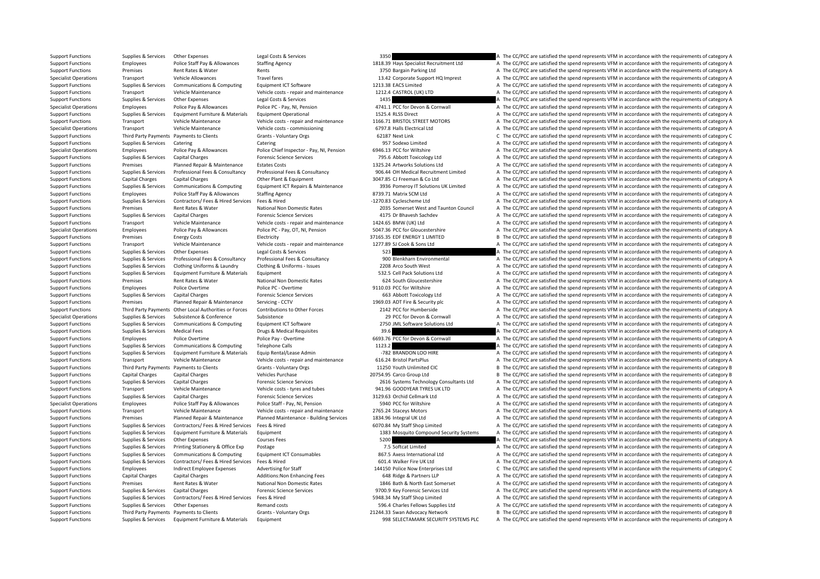Support Functions Supplies & Services Other Expenses Legal Costs & Services 3350 3350 A The CC/PCC are satisfied the spend represents VFM in accordance with the requirements of category A Support Functions Employees Police Staff Pay & Allowances Staffing Agency 1818.39 Hays Specialist Recruitment Ltd A The CC/PCC are satisfied the spend represents VFM in accordance with the requirements of category A Support Functions Premises Rent Rates & Water Rents Rents Rents and Rents and A The CC/PCC are satisfied the spend represents VFM in accordance with the requirements of category A Specialist Operations Transport Vehicle Allowances Travel fares Travel fares 13.42 Corporate Support HQ Imprest A The CC/PCC are satisfied the spend represents VFM in accordance with the requirements of category A Support Functions Supplies & Services Communications & Computing Equipment ICT Software 1213.38 EACS Limited A The CC/PCC are satisfied the spend represents VFM in accordance with the requirements of category A Support Functions Transport Vehicle Maintenance Vehicle costs ‐ repair and maintenance 1212.4 CASTROL (UK) LTD A The CC/PCC are satisfied the spend represents VFM in accordance with the requirements of category A Support Functions Supplies & Services Other Expenses Legal Costs & Services 1435 A The CC/PCC are satisfied the spend represents VFM in accordance with the requirements of category A Specialist Operations Employees Police Pay & Allowances Police PC ‐ Pay, NI, Pension 4741.1 PCC for Devon & Cornwall A The CC/PCC are satisfied the spend represents VFM in accordance with the requirements of category A Support Functions Supplies & Services Equipment Furniture & Materials Equipment Operational 1525.4 RLSS Direct A The CC/PCC are satisfied the spend represents VFM in accordance with the requirements of category A Support Functions Transport Vehicle Maintenance Vehicle costs - repair and maintenance 1166.71 BRISTOL STREET MOTORS A The CC/PCC are satisfied the spend represents VFM in accordance with the requirements of category A Specialist Operations Transport Vehicle Maintenance Vehicle costs ‐ commissioning 6797.8 Halls Electrical Ltd A The CC/PCC are satisfied the spend represents VFM in accordance with the requirements of category A Support Functions Third Party Payments Payments to Clients Grants - Voluntary Orgs 62187 Next Link C The CC/PCC are satisfied the spend represents VFM in accordance with the requirements of category C Support Functions Supplies & Services Catering Catering Catering Catering Catering Catering Catering Catering Catering Catering Catering ST Sodexo Limited A The CC/PCC are satisfied the spend represents VFM in accordance w Specialist Operations Employees Police Pay & Allowances Police Chief Inspector - Pay, NI, Pension 6946.13 PCC for Wiltshire A The CC/PCC are satisfied the spend represents VFM in accordance with the requirements of categor Support Functions Supplies & Services Capital Charges Forensic Science Services 795.6 Abbott Toxicology Ltd A The CC/PCC are satisfied the spend represents VFM in accordance with the requirements of category A Support Functions Premises Planned Repair & Maintenance Estates Costs 1325.24 Artworks Solutions Ltd A The CC/PCC are satisfied the spend represents VFM in accordance with the requirements of category A Support Functions Supplies & Services Professional Fees & Consultancy Professional Fees & Consultancy Professional Fees & Consultancy Professional Fees & Consultancy 906.44 OH Medical Recruitment Limited A The CC/PCC are s Support Functions Capital Charges Capital Charges Other Plant & Equipment 3047.85 CJ Freeman & Co Ltd A The CC/PCC are satisfied the spend represents VFM in accordance with the requirements of category A Support Functions Supplies & Services Communications & Computing Equipment ICT Repairs & Maintenance 3936 Pomeroy IT Solutions UK Limited A The CC/PCC are satisfied the spend represents VFM in accordance with the requireme Support Functions Employees Police Staff Pay & Allowances Staffing Agency 8739.71 Matrix SCM Ltd A The CC/PCC are satisfied the spend represents VFM in accordance with the requirements of category A Support Functions Supplies & Services Contractors/ Fees & Hired Services Fees & Hired Services Fees & Hired Services Fees & Hired A The CC/PCC are satisfied the spend represents VFM in accordance with the requirements of c Support Functions Premises Rent Rates & Water National Non Domestic Rates 2035 Somerset West and Taunton Council A The CC/PCC are satisfied the spend represents VFM in accordance with the requirements of category A Support Functions Supplies & Services Capital Charges Forensic Science Services 4175 Dr Bhavesh Sachdev A The CC/PCC are satisfied the spend represents VFM in accordance with the requirements of category A Support Functions Transport Vehicle Maintenance Vehicle costs - repair and maintenance 1424.65 BMW (UK) I td A The CC/PCC are satisfied the spend represents VFM in accordance with the requirements of category A Specialist Operations Employees Police Pay & Allowances Police PC · Pay, OT, NI, Pension 5047.36 PCC for Gloucestershire A The CC/PCC are satisfied the spend represents VFM in accordance with the requirements of category A Support Functions Premises Energy Costs Electricity Electricity and the COSTS EDF ENERGY 1 LIMITED B The CC/PCC are satisfied the spend represents VFM in accordance with the requirements of category B Support Functions Transport Vehicle Maintenance Vehicle costs - repair and maintenance 1277.89 SJ Cook & Sons Ltd A The CC/PCC are satisfied the spend represents VFM in accordance with the requirements of category A Support Functions Supplies & Services Other Expenses Legal Costs & Services 523 A The CC/PCC are satisfied the spend represents VFM in accordance with the requirements of category A Supplies & Services Professional Fees & Consultancy Professional Fees & Consultancy Professional Fees & Consultancy Professional Fees & Consultancy and the CODEC are Environmental A The CC/PCC are satisfied the spend repre Support Functions Supplies & Services Clothing Uniforms & Laundry Clothing & Uniforms - Issues 2208 Arco South West A The CC/PCC are satisfied the spend represents VFM in accordance with the requirements of category A Support Functions Supplies & Services Equipment Furniture & Materials Equipment Equipment 532.5 Cell Pack Solutions Ltd A The CC/PCC are satisfied the spend represents VFM in accordance with the requirements of category A Support Functions Premises Rent Rates Rent Rates National Non Domestic Rates 624 South Gloucestershire A The CC/PCC are satisfied the spend represents VFM in accordance with the requirements of category A Support Functions Employees Police Overtime Police PC - Overtime Police PC - Overtime 9110.03 PCC for Wiltshire A The CC/PCC are satisfied the spend represents VFM in accordance with the requirements of category A Support Functions Supplies & Services Capital Charges **Forensic Science Services** 663 Abbott Toxicology Ltd A The CC/PCC are satisfied the spend represents VFM in accordance with the requirements of category A Support Functions Premises Planned Repair & Maintenance Servicing ‐ CCTV 1969.03 ADT Fire & Security plc A The CC/PCC are satisfied the spend represents VFM in accordance with the requirements of category A Support Eunctions Third Party Payments Other I ocal Authorities or Forces Contributions to Other Forces 2112 PCC for Humberside a The CC/PCC are satisfied the sonard consecutor VFM in accordance with the requirements of ca Specialist Operations Supplies & Services Subsistence Subsistence Subsistence Subsistence 2012 29 PCC for Devon & Cornwall A The CC/PCC are satisfied the spend represents VFM in accordance with the requirements of category Support Functions Supplies & Services Communications & Computing Equipment ICT Software 2750 JML Software Solutions Ltd A The CC/PCC are satisfied the spend represents VFM in accordance with the requirements of category A Support Functions Supplies & Services Medical Fees Drugs & Medical Requisites Drugs & Medical Requisites Drugs & Medical Requisites 39.6 A The CC/PCC are satisfied the spend represents VFM in accordance with the requiremen Support Functions Employees Police Overtime Police Pay - Overtime Police Pay - Overtime 6693.76 PCC for Devon & Cornwall A The CC/PCC are satisfied the spend represents VFM in accordance with the requirements of category A Support Functions Supplies & Services Communications & Computing Telephone Calls 1123.2 1123.2 A The CC/PCC are satisfied the spend represents VFM in accordance with the requirements of category A Support Functions Supplies & Services Equipment Furniture & Materials Equip Rental/Lease Admin -782 BRANDON LOO HIRE A The CC/PCC are satisfied the spend represents VFM in accordance with the requirements of category A Support Functions Transport Vehicle Maintenance Vehicle costs ‐ repair and maintenance 616.24 Bristol PartsPlus A The CC/PCC are satisfied the spend represents VFM in accordance with the requirements of category A Support Functions Third Party Payments Payments to Clients Grants - Voluntary Orgs 11250 Youth Unlimited CIC B The CC/PCC are satisfied the spend represents VFM in accordance with the requirements of category B Support Functions Capital Charges Capital Charges Vehicles Purchase 20754.95 Carco Group Ltd B The CC/PCC are satisfied the spend represents VFM in accordance with the requirements of category B Support Functions Supplies & Services Capital Charges Forensic Science Services 2616 Systems Technology Consultants Ltd A The CC/PCC are satisfied the spend represents VFM in accordance with the requirements of category A Support Functions Transport Vehicle Maintenance Vehicle costs - tyres and tubes 941.96 GOODYEAR TYRES UK LTD A The CC/PCC are satisfied the spend represents VFM in accordance with the requirements of category A Support Functions Supplies & Services Capital Charges Forensic Science Services 3129.63 Orchid Cellmark Ltd A The CC/PCC are satisfied the spend represents VFM in accordance with the requirements of category A Specialist Operations Employees Police Staff Pay & Allowances Police Staff - Pay, NI, Pension 5940 PCC for Wiltshire A The CC/PCC are satisfied the spend represents VFM in accordance with the requirements of category A Support Functions Transport Vehicle Maintenance Vehicle costs ‐ repair and maintenance 2765.24 Staceys Motors A The CC/PCC are satisfied the spend represents VFM in accordance with the requirements of category A Support Functions Premises Planned Repair & Maintenance Planned Maintenance - Building Services 1834.96 Integral UK Ltd A The CC/PCC are satisfied the spend represents VFM in accordance with the requirements of category A Support Functions Supplies & Services Contractors/ Fees & Hired Services Fees & Hired Microsoft Category A The CC/PCC are satisfied the spend represents VFM in accordance with the requirements of category A Support Functions Supplies & Services Equipment Furniture & Materials Equipment 1383 Mosquito Compound Security Systems A The CC/PCC are satisfied the spend represents VFM in accordance with the requirements of category A Support Functions Supplies & Services Other Expenses Courses Fees Courses Fees 5200 5200 A The CC/PCC are satisfied the spend represents VFM in accordance with the requirements of category A Support Functions Supplies & Services Printing Stationery & Office Exp Postage 7.5 Softcat Limited 7.5 Softcat Limited A The CC/PCC are satisfied the spend represents VFM in accordance with the requirements of category A Support Functions Supplies & Services Communications & Computing Equipment ICT Consumables 867.5 Axess International Ltd A The CC/PCC are satisfied the spend represents VFM in accordance with the requirements of category A Support Functions Supplies & Services Contractors/ Fees & Hired Services Fees & Hired Mired A The CL/PCC are satisfied the spend represents VFM in accordance with the requirements of category A Support Functions Employees Indirect Employee Expenses Advertising for Staff 144150 Police Now Enterprises Ltd C The CC/PCC are satisfied the spend represents VFM in accordance with the requirements of category C Support Functions Capital Charges Capital Charges Additions:Non Enhancing Fees 648 Ridge & Partners LLP A The CC/PCC are satisfied the spend represents VFM in accordance with the requirements of category A Support Functions Premises Rent Rates & Water National Non Domestic Rates 1846 Bath & North East Somerset A The CC/PCC are satisfied the spend represents VFM in accordance with the requirements of category A Support Functions Supplies & Services Capital Charges **Forensic Science Services** Services 9700.9 Key Forensic Services Ltd A The CC/PCC are satisfied the spend represents VFM in accordance with the requirements of categor Support Functions Supplies & Services Contractors/ Fees & Hired Services Fees & Hired 5948.34 My Staff Shop Limited A The CC/PCC are satisfied the spend represents VFM in accordance with the requirements of category A Support Functions Supplies & Services Other Expenses Remand costs Remand costs 596.4 Charles Fellows Supplies Ltd A The CC/PCC are satisfied the spend represents VFM in accordance with the requirements of category A Support Functions Third Party Payments Payments to Clients Grants - Voluntary Orgs 21244.33 Swan Advocacy Network B The CC/PCC are satisfied the spend represents VFM in accordance with the requirements of category B Support Functions Supplies & Services Equipment Furniture & Materials Equipment extent of category A The CC/PCC are satisfied the spend represents VFM in accordance with the requirements of category A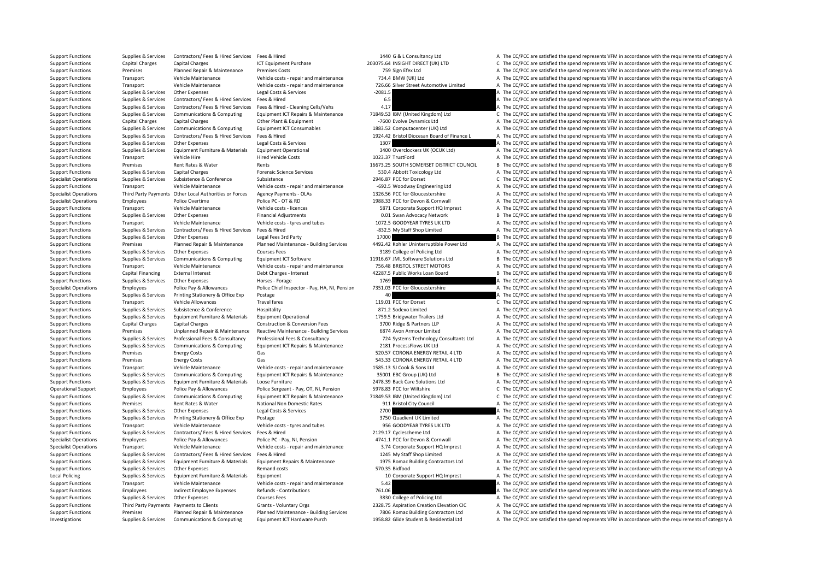Support Functions Supplies & Services Contractors/ Fees & Hired Services Fees & Hired 1440 G & L Consultancy Ltd A The CC/PCC are satisfied the spend represents VFM in accordance with the requirements of category A Support Functions Capital Charges Capital Charges ICT Equipment Purchase 203075.64 INSIGHT DIRECT (UK) LTD C The CC/PCC are satisfied the spend represents VFM in accordance with the requirements of category C Support Functions Premises Planned Repair & Maintenance Premises Costs 759 Sign Efex Ltd A The CC/PCC are satisfied the spend represents VFM in accordance with the requirements of category A Support Functions Transport Vehicle Maintenance Vehicle Maintenance Vehicle costs repair and maintenance 734.4 BMW (UK) Ltd A The CC/PCC are satisfied the spend represents VFM in accordance with the requirements of categor Support Functions Transport Vehicle Maintenance Vehicle costs - repair and maintenance 726.66 Silver Street Automotive Limited A The CC/PCC are satisfied the spend represents VFM in accordance with the requirements of cate Support Functions Supplies & Services Other Expenses Legal Costs & Services -2081.5 A The CC/PCC are satisfied the spend represents VFM in accordance with the requirements of category A Support Functions Supplies & Services Contractors/ Fees & Hired Services Fees & Hired Services Fees & Hired 6.5 A The CC/PCC are satisfied the spend represents VFM in accordance with the requirements of category A Support Functions Supplies & Services Contractors/ Fees & Hired Services Fees & Hired · Cleaning Cells/Vehs 4.17 A The CC/PCC are satisfied the spend represents VFM in accordance with the requirements of category A Support Functions Supplies & Services Communications & Computing Equipment ICT Repairs & Maintenance 71849.53 IBM (United Kingdom) Ltd C The CC/PCC are satisfied the spend represents VFM in accordance with the requirements Support Functions Capital Charges Capital Charges Other Plant & Equipment -7600 Evolve Dynamics Ltd A The CC/PCC are satisfied the spend represents VFM in accordance with the requirements of category A Support Functions Supplies & Services Communications & Computing Equipment ICT Consumables 1883.52 Computacenter (UK) Ltd A The CC/PCC are satisfied the spend represents VFM in accordance with the requirements of category Supplies & Services Contractors/ Fees & Hired Services Fees & Hired Services Fees & Hired Services Fees & Hired Services Fees & Hired Services Fees & Hired Services And Services And Services And Managements of Category A T Support Functions Supplies & Services Other Expenses Legal Costs & Services 1307 1307 A The CC/PCC are satisfied the spend represents VFM in accordance with the requirements of category A Support Functions Supplies & Services Equipment Furniture & Materials Equipment Operational and a support of the CC/PCC are satisfied the spend represents VFM in accordance with the requirements of category A Support Functions Transport Vehicle Hire Hire Hired Vehicle Costs Hired Vehicle Costs 1023.37 TrustFord A The CC/PCC are satisfied the spend represents VFM in accordance with the requirements of category A Support Functions Premises Rent Rates & Water Rents Rents Rents Rents Rents Rents Rents Rents Rents Rents Rents Rents Rents Rents Rents Rents Rents Rents Rents Rents Rents Rents Rents Rents Rents Rents Rents Rents Rents Re Support Functions Supplies & Services Capital Charges Forensic Science Services 530.4 Abbott Toxicology Ltd A The CC/PCC are satisfied the spend represents VFM in accordance with the requirements of category A Specialist Operations Supplies & Services Subsistence Subsistence Subsistence Subsistence Subsistence 2946.87 PCC for Dorset C The CC/PCC are satisfied the spend represents VFM in accordance with the requirements of catego Support Functions Transport Vehicle Maintenance Vehicle costs - repair and maintenance -692.5 Woodway Engineering Ltd A The CC/PCC are satisfied the spend represents VFM in accordance with the requirements of category A Specialist Operations Third Party Payments Other Local Authorities or Forces Agency Payments - OLAs 1326.56 PCC for Gloucestershire A The CC/PCC are satisfied the spend represents VFM in accordance with the requirements of Specialist Operations Employees Police Overtime Police PC · OT & RD 1988.33 PCC for Devon & Cornwall A The CC/PCC are satisfied the spend represents VFM in accordance with the requirements of category A Support Functions Transport Vehicle Maintenance Vehicle costs - licences 5871 Corporate Support HQ Imprest A The CC/PCC are satisfied the spend represents VFM in accordance with the requirements of category A Support Functions Supplies & Services Other Expenses Financial Adjustments Financial Adjustments 0.01 Swan Advocacy Network B The CC/PCC are satisfied the spend represents VFM in accordance with the requirements of categor Support Functions Transport Vehicle Maintenance Vehicle costs - tyres and tubes 1072.5 GOODYEAR TYRES UK LTD A The CC/PCC are satisfied the spend represents VFM in accordance with the requirements of category A Support Functions Supplies & Services Contractors/ Fees & Hired Services Fees & Hired Services Fees & Hired **A The CC/PCC are satisfied the spend represents VFM in accordance with the requirements of category A** The CC/PCC Support Functions Supplies & Services Other Expenses Legal Fees 3rd Party 17000 17000 B The CC/PCC are satisfied the spend represents VFM in accordance with the requirements of category B Support Functions Premises Planned Repair & Maintenance Planned Maintenance - Building Services 4492.42 Kohler Uninterruptible Power Ltd A The CC/PCC are satisfied the spend represents VFM in accordance with the requiremen Support Functions Supplies & Services Other Expenses Courses Fees Courses Fees 3189 College of Policing Ltd A The CC/PCC are satisfied the spend represents VFM in accordance with the requirements of category A Supplies & Services Communications & Computing Equipment ICT Software Computing Computing Equipment ICT Software 1916.67 JML Software Solutions Ltd B The CC/PCC are satisfied the spend represents VFM in accordance with the Support Functions Transport Vehicle Maintenance Vehicle costs ‐ repair and maintenance 756.48 BRISTOL STREET MOTORS A The CC/PCC are satisfied the spend represents VFM in accordance with the requirements of category A Support Functions Capital Financing External Interest Debt Charges - Interest Anterest 42287.5 Public Works Loan Board B The CC/PCC are satisfied the spend represents VFM in accordance with the requirements of category B Support Functions Supplies & Services Other Expenses Horses Forage 1769 1769 A The CC/PCC are satisfied the spend represents VFM in accordance with the requirements of category A Specialist Operations Employees Police Pay & Allowances Police Chief Inspector - Pay, HA, NI, Pensior 7351.03 PCC for Gloucestershire A The CC/PCC are satisfied the spend represents VFM in accordance with the requirements Support Functions Supplies & Services Printing Stationery & Office Exp Postage 40 A The CC/PCC are satisfied the spend represents VFM in accordance with the requirements of category A Support Functions Transport Vehicle Allowances Travel fares Travel fares 119.01 PCC for Dorset C The CC/PCC are satisfied the spend represents VFM in accordance with the requirements of category C Support Functions Supplies Support Subsistence Subsistence Hospitality and the State and the CONFC are satisfied the spend represents VFM in accordance with the requirements of category A The CC/PCC are satisfied the spend Support Functions Supplies & Services Equipment Furniture & Materials Equipment Operational 1759.5 Bridgwater Trailers Ltd A The CC/PCC are satisfied the spend represents VFM in accordance with the requirements of category Support Functions Capital Charges Capital Charges Construction & Conversion Fees 3700 Ridge & Partners LLP A The CC/PCC are satisfied the spend represents VFM in accordance with the requirements of category A Support Functions Premises Unplanned Repair & Maintenance Reactive Maintenance - Building Services 6874 Avon Armour Limited And The CC/PCC are satisfied the spend represents VFM in accordance with the requirements of categ Support Functions Supplies & Services Professional Fees & Consultancy Professional Fees & Consultancy Professional Fees & Consultancy Professional Fees & Consultancy 724 Systems Technology Consultants Ltd A The CC/PCC are

Supplies & Services Communications & Computing Equipment ICT Repairs & Maintenance 2181 ProcessFlows UK Ltd A The CC/PCC are satisfied the spend represents VFM in accordance with the requirements of category A Support Functions Premises Energy Costs Gas Gas Support Functions S20.57 CORONA ENERGY RETAIL 4 LTD A The CC/PCC are satisfied the spend represents VFM in accordance with the requirements of category A Support Functions Premises Energy Costs Gas Gas Sas Section Control and the CC/PCC are satisfied the spend represents VFM in accordance with the requirements of category A Support Functions Transport Vehicle Maintenance Vehicle costs ‐ repair and maintenance 1585.13 SJ Cook & Sons Ltd A The CC/PCC are satisfied the spend represents VFM in accordance with the requirements of category A Support Functions Supplies & Services Communications & Computing Equipment ICT Repairs & Maintenance 35001 EBC Group (UK) Ltd B The CC/PCC are satisfied the spend represents VFM in accordance with the requirements of categ Support Functions Supplies & Services Equipment Furniture & Materials Loose Furniture 2478.39 Back Care Solutions Ltd A The CC/PCC are satisfied the spend represents VFM in accordance with the requirements of category A Operational Support Employees Police Pay & Allowances Police Sergeant - Pay, OT, NI, Pension 5978.83 PCC for Wiltshire C The CC/PCC are satisfied the spend represents VFM in accordance with the requirements of category C Support Functions Support Support Support Communications & Computing Foujoment ICT Repairs & Maintenance 71849.53 IBM (United Kingdom) Itd C. The CC/PCC are satisfied the spend represents VEM in accordance with the require Support Functions Premises Rent Rates & Water National Non Domestic Rates 911 Bristol City Council A The CC/PCC are satisfied the spend represents VFM in accordance with the requirements of category A Support Functions Supplies & Services Other Expenses Legal Costs & Services 2700 2700 A The CC/PCC are satisfied the spend represents VFM in accordance with the requirements of category A Support Functions Supplies & Services Printing Stationery & Office Exp Postage Prostage 3750 Quadient UK Limited A The CC/PCC are satisfied the spend represents VFM in accordance with the requirements of category A Support Functions Transport Vehicle Maintenance Vehicle costs ‐ tyres and tubes 956 GOODYEAR TYRES UK LTD A The CC/PCC are satisfied the spend represents VFM in accordance with the requirements of category A Support Functions Supplies & Services Contractors/ Fees & Hired Services Fees & Hired 2129.17 Cyclescheme Ltd A The CC/PCC are satisfied the spend represents VFM in accordance with the requirements of category A Specialist Operations Employees Police Pay & Allowances Police PC - Pay, NI, Pension 4741.1 PCC for Devon & Cornwall A The CC/PCC are satisfied the spend represents VFM in accordance with the requirements of category A Specialist Operations Transport Vehicle Maintenance Vehicle costs - repair and maintenance 2007 174 Corporate Support HQ Imprest A The CC/PCC are satisfied the spend represents VFM in accordance with the requirements of ca Support Functions Supplies & Services Contractors/ Fees & Hired Services Fees & Hired 1245 My Staff Shop Limited A The CC/PCC are satisfied the spend represents VFM in accordance with the requirements of category A Supplies & Services Equipment Furniture & Materials Equipment Repairs & Maintenance 1975 Romac Building Contractors Ltd A The CC/PCC are satisfied the spend represents VFM in accordance with the requirements of category A Support Functions Premises Planned Repair & Maintenance Planned Maintenance - Building Services 7806 Romac Building Contractors Ltd A The CC/PCC are satisfied the spend represents VFM in accordance with the requirements of

Support Functions Supplies & Services Other Expenses Remand costs Remand costs 570.35 Bidfood A The CC/PCC are satisfied the spend represents VFM in accordance with the requirements of category A Local Policing Supplies & Services Equipment Furniture & Materials Equipment 10 Corporate Support HQ Imprest A The CC/PCC are satisfied the spend represents VFM in accordance with the requirements of category A Support Functions Transport Vehicle Maintenance Vehicle costs ‐ repair and maintenance 5.42 A The CC/PCC are satisfied the spend represents VFM in accordance with the requirements of category A Support Functions Employees Indirect Employee Expenses Refunds - Contributions 761.06 761.06 A The CC/PCC are satisfied the spend represents VFM in accordance with the requirements of category A Support Functions Supplies & Services Other Expenses Courses Fees Courses Fees 3830 College of Policing Ltd A The CC/PCC are satisfied the spend represents VFM in accordance with the requirements of category A Support Functions Third Party Payments Payments to Clients Grants - Voluntary Orgs 2328.75 Aspiration Creation Elevation Client A The CC/PCC are satisfied the spend represents VFM in accordance with the requirements of cat

Investigations Supplies & Services Communications & Computing Equipment ICT Hardware Purch 1958.82 Glide Student & Residential Ltd A The CC/PCC are satisfied the spend represents VFM in accordance with the requirements of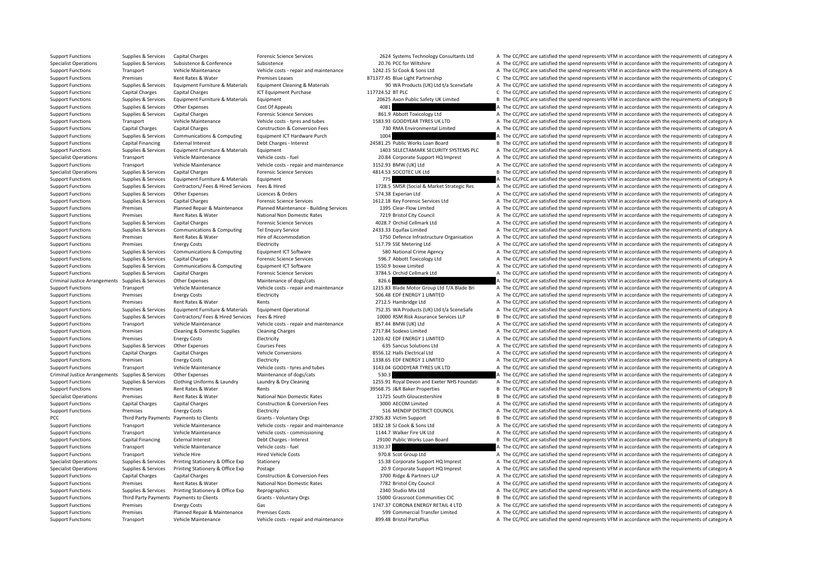Support Functions Transport Vehicle Maintenance Vehicle costs ‐ repair and maintenance 899.48 Bristol PartsPlus A The CC/PCC are satisfied the spend represents VFM in accordance with the requirements of category A

Support Functions Supplies & Services Capital Charges Forensic Science Services 2624 Systems Technology Consultants Ltd A The CC/PCC are satisfied the spend represents VFM in accordance with the requirements of category A Specialist Operations Supplies & Services Subsistence  $\sim$  Subsistence and Subsistence and Subsistence 20.76 PCC for Wiltshire A The CC/PCC are satisfied the spend represents VFM in accordance with the requirements of cate Support Functions Transport Vehicle Maintenance Vehicle Maintenance Vehicle Maintenance Vehicle Maintenance Vehicle Maintenance Vehicle Maintenance Vehicle Maintenance Vehicle Maintenance Vehicle Maintenance Vehicle Mainte Support Functions Premises Rent Rates & Water Premises Premises Premises Premises Leases 871377.45 Blue Light Partnership C The CC/PC are satisfied the spend represents VFM in accordance with the requirements of category C Support Functions Supplies & Services Equipment Furniture & Materials Equipment Cleaning & Materials And Support (UK) Ltd t/a SceneSafe A The CC/PCC are satisfied the spend represents VFM in accordance with the requirement Support Functions Capital Charges Capital Charges ICT Equipment Purchase 117724.52 BT PLC C 10 COMPCC are satisfied the spend represents VFM in accordance with the requirements of category C Support Functions Supplies & Services Equipment Furniture & Materials Equipment 20625 Axon Public Safety UK Limited B The CC/PCC are satisfied the spend represents VFM in accordance with the requirements of category B Support Functions Supplies & Services Other Expenses Cost Of Appeals 4081 A The CC/PCC are satisfied the spend represents VFM in accordance with the requirements of category A Support Functions Supplies & Services Capital Charges Forensic Science Services 861.9 Abbott Toxicology Ltd A The CC/PCC are satisfied the spend represents VFM in accordance with the requirements of category A Support Functions Transport Vehicle Maintenance Vehicle costs ‐ tyres and tubes 1583.93 GOODYEAR TYRES UK LTD A The CC/PCC are satisfied the spend represents VFM in accordance with the requirements of category A Support Functions Capital Charges Capital Charges Construction & Conversion Fees 730 RMA Environmental Limited A The CC/PCC are satisfied the spend represents VFM in accordance with the requirements of category A The CC/PC Support Functions Supplies & Services Communications & Computing Equipment ICT Hardware Purch 1004 1004 A The CC/PCC are satisfied the spend represents VFM in accordance with the requirements of category A Support Functions Capital Financing External Interest Debt Charges - Interest 24581.25 Public Works Loan Board B The CC/PCC are satisfied the spend represents VFM in accordance with the requirements of category B Support Functions Supplies & Services Equipment Furniture & Materials Equipment 1403 SELECTAMARK SECURITY SYSTEMS PLC A The CC/PCC are satisfied the spend represents VFM in accordance with the requirements of category A Specialist Operations Transport Vehicle Maintenance Vehicle costs ‐ fuel 20.84 Corporate Support HQ Imprest A The CC/PCC are satisfied the spend represents VFM in accordance with the requirements of category A Support Functions Transport Vehicle Maintenance Vehicle costs ‐ repair and maintenance 3152.93 BMW (UK) Ltd A The CC/PCC are satisfied the spend represents VFM in accordance with the requirements of category A Specialist Operations Supplies & Services Capital Charges Forensic Science Services 4814.53 SOCOTEC UK Ltd B The CC/PCC are satisfied the spend represents VFM in accordance with the requirements of category B Support Functions Supplies & Services Equipment Furniture & Materials Equipment extends Equipment and the content 775 A The CC/PCC are satisfied the spend represents VFM in accordance with the requirements of category A Supplies & Services Contractors/ Fees & Hired Services Fees & Hired Services Fees & Hired Services Fees & Hired Services Fees & Hired Services Fees & Hired Services Fees & Hired Services Fees & Hired Services Fees & Hired Support Functions Supplies & Services Other Expenses Licences & Orders 574.38 Experian Ltd A The CC/PCC are satisfied the spend represents VFM in accordance with the requirements of category A Support Functions Supplies & Services Capital Charges Forensic Science Services 1612.18 Key Forensic Services Ltd A The CC/PCC are satisfied the spend represents VFM in accordance with the requirements of category A Support Functions Premises Planned Repair & Maintenance Planned Maintenance - Building Services 1395 Clear‐Flow Limited A The CC/PCC are satisfied the spend represents VFM in accordance with the requirements of category A Support Functions Premises Rent Rates & Water National Non Domestic Rates 7219 Bristol City Council A The CC/PCC are satisfied the spend represents VFM in accordance with the requirements of category A Support Functions Supplies & Services Capital Charges Forensic Science Services 4028.7 Orchid Cellmark Ltd A The CC/PCC are satisfied the spend represents VFM in accordance with the requirements of category A Support Functions Supplies & Services Communications & Computing Tel Enquiry Service 2433.33 Equifax Limited A The CC/PCC are satisfied the spend represents VFM in accordance with the requirements of category A Support Functions Premises Rent Rates & Water Hire of Accommodation Hire of Accommodation 1750 Defence Infrastructure Organisation A The CC/PCC are satisfied the spend represents VFM in accordance with the requirements of Support Functions Premises Energy Costs Electricity Electricity Support Electricity Support Electricity Support Electricity Support A The CC/PCC are satisfied the spend represents VFM in accordance with the requirements of Support Functions Supplies & Services Communications & Computing Equipment ICT Software 580 National Crime Agency A The CC/PCC are satisfied the spend represents VFM in accordance with the requirements of category A Support Functions Supplies & Services Capital Charges Forensic Science Services 596.7 Abbott Toxicology Ltd A The CC/PCC are satisfied the spend represents VFM in accordance with the requirements of category A Support Functions Supplies & Services Communications & Computing Equipment ICT Software 1550.9 boxxe Limited A The CC/PCC are satisfied the spend represents VFM in accordance with the requirements of category A Support Functions Supplies & Services Capital Charges Forensic Science Services 3784.5 Orchid Cellmark Ltd A The CC/PCC are satisfied the spend represents VFM in accordance with the requirements of category A Criminal Justice Arrangements Supplies & Services Other Expenses Maintenance of dogs/cats 826.6 8 826.6 A The CC/PCC are satisfied the spend represents VFM in accordance with the requirements of category A Support Functions Transport Vehicle Maintenance Vehicle costs - repair and maintenance 1215.83 Blade Motor Group Ltd T/A Blade Bri A The CC/PCC are satisfied the spend represents VFM in accordance with the requirements of Support Functions Premises Energy Costs Electricity Electricity Support Electricity 506.48 EDF ENERGY 1 LIMITED A The CC/PCC are satisfied the spend represents VFM in accordance with the requirements of category A Support Functions Premises Rent Rates & Water Rents Rents Rents 2712.5 Hambridge Ltd A The CC/PCC are satisfied the spend represents VFM in accordance with the requirements of category A Support Eurorism Suppliers, Senators Support Francisco Compart Functions Equipment Europe Environment Constant<br>Support Eurorism Support Support Support of category A Support Functions Supplies & Services Contractors/ Fees & Hired Services Fees & Hired Services Fees & Hired Services Fees & Hired Contractors/ Fees & Hired Services Fees & Hired Services Fees & Hired Services Fees & Hired Support Functions Transport Vehicle Maintenance Vehicle costs ‐ repair and maintenance 857.44 BMW (UK) Ltd A The CC/PCC are satisfied the spend represents VFM in accordance with the requirements of category A Support Functions Premises Cleaning & Domestic Supplies Cleaning Charges 2717.84 Sodexo Limited A The CC/PCC are satisfied the spend represents VFM in accordance with the requirements of category A Support Functions Premises Energy Costs Electricity Electricity Electricity 1203.42 EDF ENERGY 1 LIMITED A The CC/PCC are satisfied the spend represents VFM in accordance with the requirements of category A Support Functions Supplies & Services Other Expenses Courses Fees 635 Sancus Solutions Ltd A The CC/PCC are satisfied the spend represents VFM in accordance with the requirements of category A Support Functions Capital Charges Capital Charges Vehicle Conversions Vehicle Conversions 8556.12 Halls Electrical Ltd A The CC/PCC are satisfied the spend represents VFM in accordance with the requirements of category A Support Functions Premises Energy Costs Electricity Electricity Electricity 1338.65 EDF ENERGY 1 LIMITED A The CC/PCC are satisfied the spend represents VFM in accordance with the requirements of category A Support Functions Transport Vehicle Maintenance Vehicle costs - tyres and tubes 3143.04 GOODYEAR TYRES UK LTD A The CC/PCC are satisfied the spend represents VFM in accordance with the requirements of category A Criminal Justice Arrangements Supplies & Services Other Expenses Maintenance of dogs/cats 530.3 530.3 A The CC/PCC are satisfied the spend represents VFM in accordance with the requirements of category A Support Functions Supplies & Services Clothing Uniforms & Laundry Laundry & Dry Cleaning 1997-80 1255.91 Royal Devon and Exeter NHS Foundati A The CC/PCC are satisfied the spend represents VFM in accordance with the requir Support Functions Premises Rent Rates & Water Rents Rents Rents and the Support Rents and the Support are satisfied the spend represents VFM in accordance with the requirements of category B Specialist Operations Premises Rent Rates & Water National Non Domestic Rates 11725 South Gloucestershire B The CC/PCC are satisfied the spend represents VFM in accordance with the requirements of category B Support Functions Capital Charges Capital Charges Construction & Conversion Fees 3000 AECOM Limited A The CC/PCC are satisfied the spend represents VFM in accordance with the requirements of category A Support Functions Premises Energy Costs Electricity Electricity Support Electricity Electricity 516 MENDIP DISTRICT COUNCIL A The CC/PCC are satisfied the spend represents VFM in accordance with the requirements of categor PCC Third Party Payments Payments to Clients Grants - Voluntary Orgs 27305.83 Victim Support B The CC/PCC are satisfied the spend represents VFM in accordance with the requirements of category B Support Functions Transport Vehicle Maintenance Vehicle costs ‐ repair and maintenance 1832.18 SJ Cook & Sons Ltd A The CC/PCC are satisfied the spend represents VFM in accordance with the requirements of category A Support Functions Transport Vehicle Maintenance Vehicle costs ‐ commissioning 1144.7 Walker Fire UK Ltd A The CC/PCC are satisfied the spend represents VFM in accordance with the requirements of category A Support Functions Capital Financing External Interest Debt Charges - Interest 29100 Public Works Loan Board B The CC/PCC are satisfied the spend represents VFM in accordance with the requirements of category B Support Functions Transport Vehicle Maintenance Vehicle costs ‐ fuel 3130.37 3130.37 A The CC/PCC are satisfied the spend represents VFM in accordance with the requirements of category A Support Functions Transport Vehicle Hire Hire Hired Vehicle Costs 970.8 Scot Group Ltd A The CC/PCC are satisfied the spend represents VFM in accordance with the requirements of category A Specialist Operations Supplies & Services Printing Stationery & Office Exp Stationery 15.38 Corporate Support HQ Imprest A The CC/PCC are satisfied the spend represents VFM in accordance with the requirements of category A Specialist Operations Supplies & Services Printing Stationery & Office Exp Postage 20.9 Corporate Support HQ Imprest A The CC/PCC are satisfied the spend represents VFM in accordance with the requirements of category A Support Functions Capital Charges Capital Charges Construction & Conversion Fees 3700 Ridge & Partners LLP A The CC/PCC are satisfied the spend represents VFM in accordance with the requirements of category A Support Functions Premises Rent Rates & Water National Non Domestic Rates 7782 Bristol City Council A The CC/PCC are satisfied the spend represents VFM in accordance with the requirements of category A Support Functions Supplies & Services Printing Stationery & Office Exp Reprographics Reprographics 2340 Studio Mix Ltd A The CC/PCC are satisfied the spend represents VFM in accordance with the requirements of category A Support Functions Third Party Payments Payments to Clients Grants - Voluntary Orgs 15000 Grassroot Communities CIC B The CC/PCC are satisfied the spend represents VFM in accordance with the requirements of category B Support Functions Premises Energy Costs Gas Gas Sashipport Costs (Gas 1747.37 CORONA ENERGY RETAIL 4 LTD A The CC/PCC are satisfied the spend represents VFM in accordance with the requirements of category A Support Functions Premises Planned Repair & Maintenance Premises Costs 599 Commercial Transfer Limited A The CC/PCC are satisfied the spend represents VFM in accordance with the requirements of category A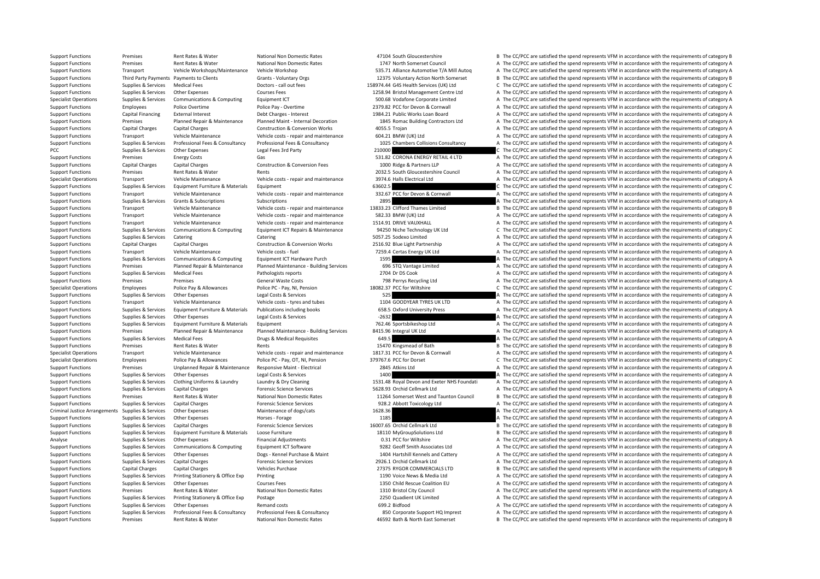Support Functions Premises Rent Rates & Water National Non Domestic Rates 47104 South Gloucestershire B The CC/PCC are satisfied the spend represents VFM in accordance with the requirements of category B Support Functions Premises Rent Rates & Water National Non Domestic Rates 1747 North Somerset Council A The CC/PCC are satisfied the spend represents VFM in accordance with the requirements of category A Support Functions Transport Vehicle Workshops/Maintenance Vehicle Workshop 535.71 Alliance Automotive T/A Mill Autoq A The CC/PCC are satisfied the spend represents VFM in accordance with the requirements of category A Support Functions Third Party Payments Payments to Clients Grants Voluntary Orgs 12375 Voluntary Action North Somerset B The CC/PCC are satisfied the spend represents VFM in accordance with the requirements of category B Support Functions Supplies & Services Medical Fees Doctors ‐ call out fees 158974.44 G4S Health Services (UK) Ltd C The CC/PCC are satisfied the spend represents VFM in accordance with the requirements of category C Support Functions Supplies & Services Other Expenses Courses Fees 1258.94 Bristol Management Centre Ltd A The CC/PCC are satisfied the spend represents VFM in accordance with the requirements of category A Specialist Operations Supplies & Services Communications & Computing Equipment ICT 500.68 Vodafone Corporate Limited A The CC/PCC are satisfied the spend represents VFM in accordance with the requirements of category A Support Functions Employees Police Overtime Police Pay - Overtime Police Pay - Overtime 2379.82 PCC for Devon & Cornwall A The CC/PCC are satisfied the spend represents VFM in accordance with the requirements of category A Support Functions Capital Financing External Interest Debt Charges - Interest Debt Charges 1984.21 Public Works Loan Board A The CC/PCC are satisfied the spend represents VFM in accordance with the requirements of category Support Functions Premises Planned Repair & Maintenance Planned Maint - Internal Decoration 1845 Romac Building Contractors Ltd A The CC/PCC are satisfied the spend represents VFM in accordance with the requirements of cat Support Functions Capital Charges Capital Charges Construction & Conversion Works 4055.5 Trojan A The CC/PCC are satisfied the spend represents VFM in accordance with the requirements of category A Support Functions Transport Vehicle Maintenance Vehicle costs - repair and maintenance 604.21 BMW (UK) Ltd A The CC/PCC are satisfied the spend represents VFM in accordance with the requirements of category A Supplies & Services Professional Fees & Consultancy Professional Fees & Consultancy Professional Fees & Consultancy Professional Fees & Consultancy 1025 Chambers Collisions Consultancy A The CC/PCC are satisfied the spend PCC The CC/PCC are satisfied the spend represents VFM in accordance with the requirements of category C The CC/PCC are satisfied the spend represents VFM in accordance with the requirements of category C Support Functions Premises Energy Costs Gas Gas Support Functions Same Same Same Same Same Same Correct A The CC/PCC are satisfied the spend represents VFM in accordance with the requirements of category A Support Functions Capital Charges Capital Charges Construction & Conversion Fees 1000 Ridge & Partners LLP A The CC/PCC are satisfied the spend represents VFM in accordance with the requirements of category A Support Functions Premises Rent Rates & Water Rents Rents Rents 2032.5 South Gloucestershire Council A The CC/PCC are satisfied the spend represents VFM in accordance with the requirements of category A Specialist Operations Transport Vehicle Maintenance Vehicle costs ‐ repair and maintenance 3974.6 Halls Electrical Ltd A The CC/PCC are satisfied the spend represents VFM in accordance with the requirements of category A Support Functions Supplies & Services Equipment Furniture & Materials Equipment extends Equipment 63602.5 C The CC/PCC are satisfied the spend represents VFM in accordance with the requirements of category C Support Functions Transport Vehicle Maintenance Vehicle costs ‐ repair and maintenance 332.67 PCC for Devon & Cornwall A The CC/PCC are satisfied the spend represents VFM in accordance with the requirements of category A Support Functions Supplies & Services Grants & Subscriptions Subscriptions Subscriptions and Subscriptions and the context of category A The CC/PCC are satisfied the spend represents VFM in accordance with the requirements Support Functions Transport Vehicle Maintenance Vehicle costs ‐ repair and maintenance 13833.23 Clifford Thames Limited B The CC/PCC are satisfied the spend represents VFM in accordance with the requirements of category B Support Functions Transport Vehicle Maintenance Vehicle costs ‐ repair and maintenance 582.33 BMW (UK) Ltd A The CC/PCC are satisfied the spend represents VFM in accordance with the requirements of category A Support Functions Transport Vehicle Maintenance Vehicle costs ‐ repair and maintenance 1514.91 DRIVE VAUXHALL A The CC/PCC are satisfied the spend represents VFM in accordance with the requirements of category A Support Functions Supporters Supporters & Services Communications & Computing Equipment ICT Repairs & Maintenance 94250 Niche Technology UK Ltd C/PCC are satisfied the spend represents VFM in accordance with the requiremen Support Functions Supplies & Services Catering Catering Catering Catering Catering Catering Catering Support The CC/PCC are satisfied A The CC/PCC are satisfied the spend represents VFM in accordance with the requirements Support Functions Capital Charges Capital Charges Capital Charges Construction & Conversion Works 2516.92 Blue Light Partnership A The CC/PCC are satisfied the spend represents VFM in accordance with the requirements of ca Support Functions Transport Vehicle Maintenance Vehicle costs ‐ fuel 7259.4 Certas Energy UK Ltd A The CC/PCC are satisfied the spend represents VFM in accordance with the requirements of category A Support Functions Supplies & Services Communications & Computing Equipment ICT Hardware Purch 1595 1595 A The CC/PCC are satisfied the spend represents VFM in accordance with the requirements of category A Support Functions Premises Planned Repair & Maintenance Planned Maintenance - Building Services 696 STQ Vantage Limited A The CC/PCC are satisfied the spend represents VFM in accordance with the requirements of category A Support Functions Supplies & Services Medical Fees Pathologists reports Pathologists reports 2704 Dr DS Cook A The CC/PCC are satisfied the spend represents VFM in accordance with the requirements of category A Support Functions Premises Premises Premises Perrises General Waste Costs 798 Perrys Recycling Ltd A The CC/PCC are satisfied the spend represents VFM in accordance with the requirements of category A Superal Vietnery C. T Specialist Operations Employees Police Pay & Allowances Police PC - Pay, NI, Pension 18082.37 PCC for Wiltshire C The CC/PCC are satisfied the spend represents VFM in accordance with the requirements of category C Support Functions Supplies & Services Other Expenses Legal Costs & Services 525 A The CC/PCC are satisfied the spend represents VFM in accordance with the requirements of category A Support Functions Transport Vehicle Maintenance Vehicle costs ‐ tyres and tubes 1104 GOODYEAR TYRES UK LTD A The CC/PCC are satisfied the spend represents VFM in accordance with the requirements of category A Support Functions Supplies & Services Faultoment Furniture & Materials Publications including books 658.5 Oxford University Press A The CC/PCC are satisfied the spend represents VFM in accordance with the requirements of c Support Functions Supplies & Services Other Expenses Legal Costs & Services -2632 -2632 A The CC/PCC are satisfied the spend represents VFM in accordance with the requirements of category A Support Functions Supplies & Services Equipment Furniture & Materials Equipment 2012 and The CONCO Ltd A The CC/PCC are satisfied the spend represents VFM in accordance with the requirements of category A Support Functions Premises Planned Repair & Maintenance Planned Maintenance - Building Services 8415.96 Integral UK Ltd A The CC/PCC are satisfied the spend represents VFM in accordance with the requirements of category A Support Functions Supplies & Services Medical Fees Drugs & Medical Requisites **Drugs & Medical Requisites 649.5** A The CC/PCC are satisfied the spend represents VFM in accordance with the requirements of category A Support Functions Premises Rent Rates & Water Rents Rents Rents Rents 15470 Kingsmead of Bath B The CC/PCC are satisfied the spend represents VFM in accordance with the requirements of category B Specialist Operations Transport Vehicle Maintenance Vehicle costs - repair and maintenance 1817.31 PCC for Devon & Cornwall A The CC/PCC are satisfied the spend represents VFM in accordance with the requirements of categor Specialist Operations Employees Police Pay & Allowances Police PC - Pay, OT, NI, Pension 379767.6 PCC for Dorset C The CC/PCC are satisfied the spend represents VFM in accordance with the requirements of category C Support Functions Premises Unplanned Repair & Maintenance Responsive Maint - Electrical 2845 Atkins Ltd A The CC/PCC are satisfied the spend represents VFM in accordance with the requirements of category A Support Functions Supplies & Services Other Expenses Legal Costs & Services 1400 A The CC/PCC are satisfied the spend represents VFM in accordance with the requirements of category A Support Functions Supplies & Services Clothing Uniforms & Laundry Laundry & Dry Cleaning 1992 Cleaning 19931.48 Royal Devon and Exeter NHS Foundati A The CC/PCC are satisfied the spend represents VFM in accordance with the Support Functions Supplies & Services Capital Charges **Forensic Science Services** Forensic Science Services 5628.93 Orchid Cellmark Ltd A The CC/PCC are satisfied the spend represents VFM in accordance with the requirement Support Functions Premises Rent Rates Rent Rates Rent Rates National Non Domestic Rates 11264 Somerset West and Taunton Council B The CC/PCC are satisfied the spend represents VFM in accordance with the requirements of cat Support Functions Supplies & Services Capital Charges **Forensic Science Services** 928.2 Abbott Toxicology Ltd A The CC/PCC are satisfied the spend represents VFM in accordance with the requirements of category A Criminal Justice Arrangements Supplies & Services Other Expenses Maintenance of dogs/cats Maintenance of dogs/cats 1628.36 A The CC/PCC are satisfied the spend represents VFM in accordance with the requirements of category Support Functions Supplies & Services Other Expenses Horses - Forage Horses - Forage 1185 A The CC/PCC are satisfied the spend represents VFM in accordance with the requirements of category A Support Functions Supplies & Services Capital Charges Forensic Science Services 16007.65 Orchid Cellmark Ltd B The CC/PCC are satisfied the spend represents VFM in accordance with the requirements of category B Support Functions Supplies & Services Equipment Furniture & Materials Loose Furniture 18110 MyGroupSolutions Ltd B The CC/PCC are satisfied the spend represents VFM in accordance with the requirements of category B Analyse Supplies & Services Other Expenses Financial Adjustments Financial Adjustments 0.31 PCC for Wiltshire A The CC/PCC are satisfied the spend represents VFM in accordance with the requirements of category A Support Functions Supplies & Services Communications & Computing Equipment ICT Software 9282 Geoff Smith Associates Ltd A The CC/PCC are satisfied the spend represents VFM in accordance with the requirements of category A Support Functions Supplies & Services Other Expenses Dogs - Kennel Purchase & Maint 1404 Hartshill Kennels and Cattery A The CC/PCC are satisfied the spend represents VFM in accordance with the requirements of category A Support Functions Supplies & Services Capital Charges Forensic Science Services 2926.1 Orchid Cellmark Ltd A The CC/PCC are satisfied the spend represents VFM in accordance with the requirements of category A Support Functions Capital Charges Capital Charges Vehicles Purchase Vehicles Purchase 27375 RYGOR COMMERCIALS LTD B The CC/PCC are satisfied the spend represents VFM in accordance with the requirements of category B Support Functions Supplies & Services Printing Stationery & Office Exp Printing 1190 Voice News & Media Ltd A The CC/PCC are satisfied the spend represents VFM in accordance with the requirements of category A Support Functions Supplies & Services Other Expenses Courses Fees 1350 Child Rescue Coalition EU A The CC/PCC are satisfied the spend represents VFM in accordance with the requirements of category A Support Functions Premises Rent Rates & Water National Non Domestic Rates 1310 Bristol City Council A The CC/PCC are satisfied the spend represents VFM in accordance with the requirements of category A Support Functions Supplies & Services Printing Stationery & Office Exp Postage 2250 Quadient UK Limited A The CC/PCC are satisfied the spend represents VFM in accordance with the requirements of category A Support Functions Supplies & Services Other Expenses Remand costs 699.2 Bidfood 699.2 Bidfood A The CC/PCC are satisfied the spend represents VFM in accordance with the requirements of category A Supplies & Services Professional Fees & Consultancy Professional Fees & Consultancy Professional Fees & Consultancy Professional Fees & Consultancy and a S50 Corporate Support HQ Imprest A The CC/PCC are satisfied the spen Support Functions Premises Rent Rates & Water National Non Domestic Rates 46592 Bath & North East Somerset B The CC/PCC are satisfied the spend represents VFM in accordance with the requirements of category B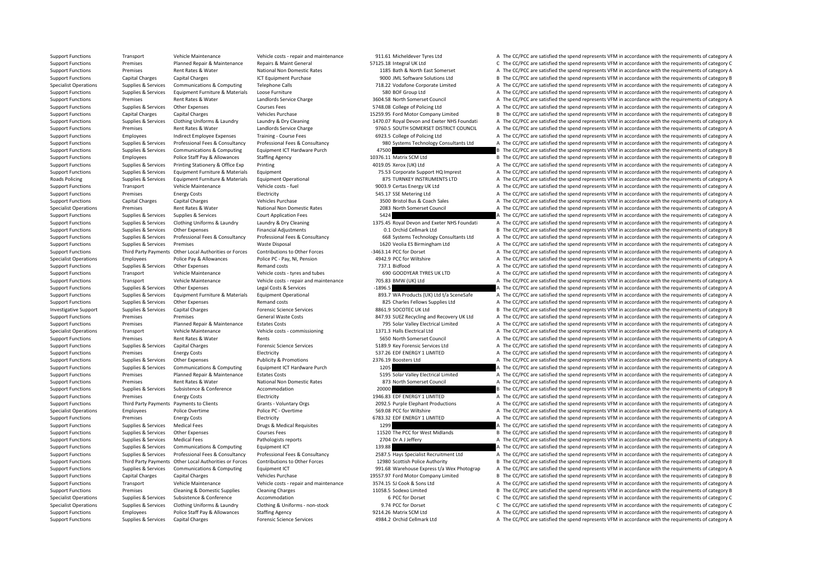Support Functions Transport Vehicle Maintenance Vehicle costs ‐ repair and maintenance 911.61 Micheldever Tyres Ltd A The CC/PCC are satisfied the spend represents VFM in accordance with the requirements of category A Support Functions Premises Planned Repair & Maintenance Repairs & Maint General 57125.18 Integral UK Ltd C The CC/PCC are satisfied the spend represents VFM in accordance with the requirements of category C Support Functions Premises Rent Rates & Water National Non Domestic Rates 1185 Bath & North East Somerset A The CC/PCC are satisfied the spend represents VFM in accordance with the requirements of category A Support Functions Capital Charges Capital Charges ICT Equipment Purchase 9000 JML Software Solutions Ltd B The CC/PCC are satisfied the spend represents VFM in accordance with the requirements of category B Specialist Operations Supplies & Services Communications & Computing Telephone Calls 718.22 Vodafone Corporate Limited A The CC/PCC are satisfied the spend represents VFM in accordance with the requirements of category A Support Functions Supplies & Services Equipment Furniture & Materials Loose Furniture 1990 Exercise 580 BOF Group Ltd A The CC/PCC are satisfied the spend represents VFM in accordance with the requirements of category A Support Functions Premises Rent Rates & Water Landlords Service Charge 3604.58 North Somerset Council A The CC/PCC are satisfied the spend represents VFM in accordance with the requirements of category A Support Functions Supplies & Services Other Expenses Courses Fees STAR. Online and STAR. Online and The CC/PCC are satisfied the spend represents VFM in accordance with the requirements of category A Support Functions Capital Charges Capital Charges Vehicles Purchase Vehicles Purchase 15259.95 Ford Motor Company Limited B The CC/PCC are satisfied the spend represents VFM in accordance with the requirements of category Support Functions Supplies & Services Clothing Uniforms & Laundry Laundry & Dry Cleaning 1970.07 Royal Devon and Exeter NHS Foundati A The CC/PCC are satisfied the spend represents VFM in accordance with the requirements o Support Functions Premises Rent Rates & Water Landlords Service Charge 9760.5 SOUTH SOMERSET DISTRICT COUNCIL A The CC/PCC are satisfied the spend represents VFM in accordance with the requirements of category A Support Functions Employees Indirect Employee Expenses Training - Course Fees 6923.5 College of Policing Ltd A The CC/PCC are satisfied the spend represents VFM in accordance with the requirements of category A Supplies & Services Professional Fees & Consultancy Professional Fees & Consultancy Professional Fees & Consultancy Professional Fees & Consultancy Supplies and Devicements Ltd A The CC/PCC are satisfied the spend represen Support Functions Supplies & Services Communications & Computing Equipment ICT Hardware Purch 47500 47500 B The CC/PCC are satisfied the spend represents VFM in accordance with the requirements of category B Support Functions Employees Police Staff Pay & Allowances Staffing Agency 10376.11 Matrix SCM Ltd B The CC/PCC are satisfied the spend represents VFM in accordance with the requirements of category B Support Functions Supplies & Services Printing Stationery & Office Exp Printing 4019.05 Xerox (UK) Ltd A The CC/PCC are satisfied the spend represents VFM in accordance with the requirements of category A Support Functions Supplies & Services Equipment Furniture & Materials Equipment 75.53 Corporate Support HQ Imprest A The CC/PCC are satisfied the spend represents VFM in accordance with the requirements of category A Roads Policing Supplies & Services Equipment Furniture & Materials Equipment Operational 875 TURNKEY INSTRUMENTS LTD A The CC/PCC are satisfied the spend represents VFM in accordance with the requirements of category A Support Functions Transport Vehicle Maintenance Vehicle costs - fuel 9003.9 Certas Energy UK Ltd A The CC/PCC are satisfied the spend represents VFM in accordance with the requirements of category A Support Functions Premises Fuergy Costs Electricity Electricity 545.17 SSE Metering Ltd A The CC/PCC are satisfied the spend represents VFM in accordance with the requirements of category A Support Functions Capital Charges Capital Charges Vehicles Purchase Vehicles Purchase 3500 Bristol Bus & Coach Sales A The CC/PCC are satisfied the spend represents VFM in accordance with the requirements of category A Specialist Operations Premises Rent Rates & Water National Non Domestic Rates 2083 North Somerset Council A The CC/PCC are satisfied the spend represents VFM in accordance with the requirements of category A Support Functions Supplies & Services Supplies & Services Court Application Fees 5424 5424 A The CC/PCC are satisfied the spend represents VFM in accordance with the requirements of category A Supplies & Services Clothing Uniforms & Laundry Laundry Laundry & Dry Cleaning 1375.45 Royal Devon and Exeter NHS Foundati A The CC/PCC are satisfied the spend represents VFM in accordance with the requirements of category Support Functions Supplies & Services Other Expenses Financial Adjustments Control Adjustments 0.1 Orchid Cellmark Ltd B The CC/PCC are satisfied the spend represents VFM in accordance with the requirements of category B Support Functions Supplies & Services Professional Fees & Consultancy Professional Fees & Consultancy Professional Fees & Consultancy Consultancy 668 Systems Technology Consultants Ltd A The CC/PCC are satisfied the spend Support Functions Supplies & Services Premises Waste Disposal Waste Disposal 1620 Veolia ES Birmingham Ltd A The CC/PCC are satisfied the spend represents VFM in accordance with the requirements of category A Support Functions Third Party Payments Other Local Authorities or Forces Contributions to Other Forces -3463.14 PCC for Dorset A The CC/PCC are satisfied the spend represents VFM in accordance with the requirements of cate Specialist Operations Employees Police Pay & Allowances Police PC · Pay, NI, Pension 4942.9 PCC for Wiltshire A The CC/PCC are satisfied the spend represents VFM in accordance with the requirements of category A Support Functions Supplies & Services Other Expenses A The mand costs Remand costs 737.1 Bidfood and the Support Functions A The CC/PCC are satisfied the spend represents VFM in accordance with the requirements of category Support Functions Transport Vehicle Maintenance Vehicle costs ‐ tyres and tubes 690 GOODYEAR TYRES UK LTD A The CC/PCC are satisfied the spend represents VFM in accordance with the requirements of category A Support Functions Transport Vehicle Maintenance Vehicle costs - repair and maintenance 705.83 BMW (UK) Ltd A The CC/PCC are satisfied the spend represents VFM in accordance with the requirements of category A Support Functions Supplies & Services Other Expenses Legal Costs & Services – 1896.5 A The CC/PCC are satisfied the spend represents VFM in accordance with the requirements of category A Support Functions Supplies & Services Equipment Furniture & Materials Equipment Operational and a service and the CC/PCC are satisfied the spend represents VFM in accordance with the requirements of category A Support Functions Supplies & Services Other Expenses Remand costs Remand costs 825 Charles Fellows Supplies Ltd A The CC/PCC are satisfied the spend represents VFM in accordance with the requirements of category A Investigative Support Supplies & Services Capital Charges Proves Forensic Science Services 8861.9 SOCOTEC UK Ltd B The CC/PCC are satisfied the spend represents VFM in accordance with the requirements of category B Support Functions Premises Premises Premises Seneral Waste Costs General Waste Costs 847.93 SUEZ Recycling and Recovery UK Ltd A The CC/PCC are satisfied the spend represents VFM in accordance with the requirements of cate Support Functions Premises Planned Repair & Maintenance Estates Costs 795 Solar Valley Electrical Limited A The CC/PCC are satisfied the spend represents VFM in accordance with the requirements of category A Specialist Operations Transport Vehicle Maintenance Vehicle costs ‐ commissioning 1371.3 Halls Electrical Ltd A The CC/PCC are satisfied the spend represents VFM in accordance with the requirements of category A Support Functions Premises Rent Rates & Water Rents Rents Rents Section Rents Section A The CC/PCC are satisfied the spend represents VFM in accordance with the requirements of category A Support Functions Supplies & Services Capital Charges Forensic Science Services Support 5189.9 Key Forensic Services Ltd A The CC/PCC are satisfied the spend represents VFM in accordance with the requirements of category A Support Functions Premises Energy Costs Electricity Electricity S37.26 EDF ENERGY 1 LIMITED A The CC/PCC are satisfied the spend represents VFM in accordance with the requirements of category A Support Functions Supplies & Services Other Expenses Publicity & Promotions 2376.19 Boosters Ltd A The CC/PCC are satisfied the spend represents VFM in accordance with the requirements of category A Support Functions Supplies & Services Communications & Computing Equipment ICT Hardware Purch 1205 A The CC/PCC are satisfied the spend represents VFM in accordance with the requirements of category A Support Functions Premises Planned Repair & Maintenance Estates Costs 5195 Solar Valley Electrical Limited A The CC/PCC are satisfied the spend represents VFM in accordance with the requirements of category A Support Functions Premises Rent Rates & Water National Non Domestic Rates 873 North Somerset Council A The CC/PCC are satisfied the spend represents VFM in accordance with the requirements of category A Support Functions Supplies & Services Subsistence  $\alpha$  Accommodation Accommodation 20000  $\alpha$  and  $\alpha$  and  $\alpha$  are satisfied the spend represents VFM in accordance with the requirements of category B Support Functions Premises Energy Costs Electricity Electricity 1946.83 EDF ENERGY 1 LIMITED A The CC/PCC are satisfied the spend represents VFM in accordance with the requirements of category A Support Functions Third Party Payments Payments to Clients Grants - Voluntary Orgs 2092.5 Purple Elephant Productions A The CC/PCC are satisfied the spend represents VFM in accordance with the requirements of category A Specialist Operations Employees Police Overtime Police PC - Overtime Police PC - Overtime 569.08 PCC for Wiltshire A The CC/PCC are satisfied the spend represents VFM in accordance with the requirements of category A Support Functions Premises Energy Costs Electricity Electricity Electricity 6783.32 EDF ENERGY 1 LIMITED A The CC/PCC are satisfied the spend represents VFM in accordance with the requirements of category A Support Functions Supplies & Services Medical Fees Drugs & Medical Requisites Drugs & Medical Requisites 1299 A The CC/PCC are satisfied the spend represents VFM in accordance with the requirements of category A Support Functions Supplies & Services Other Expenses Courses Fees Courses Fees 11520 The PCC for West Midlands B The CC/PCC are satisfied the spend represents VFM in accordance with the requirements of category B Support Functions Supplies & Services Medical Fees Pathologists reports Pathologists reports 2704 Dr A J Jeffery A The CC/PCC are satisfied the spend represents VFM in accordance with the requirements of category A Support Functions Supplies & Services Communications & Computing Equipment ICT Equipment ICT 139.88 A The CC/PCC are satisfied the spend represents VFM in accordance with the requirements of category A The CC/PCC are satis Support Functions Supplies & Services Professional Fees & Consultancy Professional Fees & Consultancy Professional Fees & Consultancy Professional Fees & Consultancy 2587.5 Hays Specialist Recruitment Ltd A The CC/PCC are Support Functions Third Party Payments Other Local Authorities or Forces Contributions to Other Forces 12980 Scottish Police Authority B The CC/PCC are satisfied the spend represents VFM in accordance with the requirements Support Functions Supplies & Services Communications & Computing Equipment ICT 991.68 Warehouse Express t/a Wex Photograp A The CC/PCC are satisfied the spend represents VFM in accordance with the requirements of category Support Functions Capital Charges Capital Charges Vehicles Purchase Vehicles Purchase 19557.97 Ford Motor Company Limited B The CC/PCC are satisfied the spend represents VFM in accordance with the requirements of category Support Functions Transport Vehicle Maintenance Vehicle costs ‐ repair and maintenance 3574.15 SJ Cook & Sons Ltd A The CC/PCC are satisfied the spend represents VFM in accordance with the requirements of category A Support Functions Premises Cleaning & Domestic Supplies Cleaning Charges 11058.5 Sodexo Limited B The CC/PCC are satisfied the spend represents VFM in accordance with the requirements of category B Specialist Operations Supplies & Services Subsistence & Conference Accommodation Accommodation 6 PCC for Dorset C The CC/PCC are satisfied the spend represents VFM in accordance with the requirements of category C Specialist Operations Supplies & Services Clothing Uniforms & Laundry Clothing & Uniforms - non-stock 9.74 PCC for Dorset C The CC/PCC are satisfied the spend represents VFM in accordance with the requirements of category Support Functions Employees Police Staff Pay & Allowances Staffing Agency 9214.26 Matrix SCM Ltd A The CC/PCC are satisfied the spend represents VFM in accordance with the requirements of category A Support Functions Supplies & Services Capital Charges A The Comparison Capital Charges Forensic Science Services 4984.2 Orchid Cellmark Ltd A The CC/PCC are satisfied the spend represents VFM in accordance with the require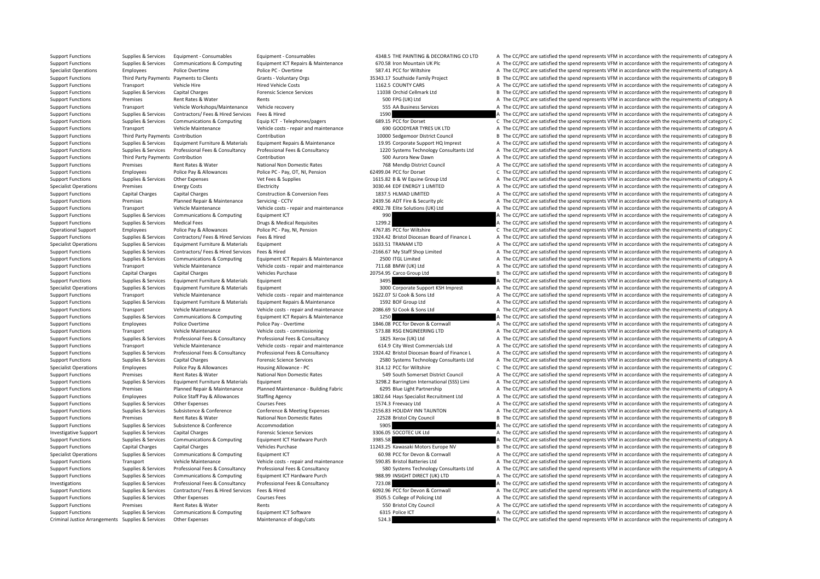Supplies & Services Equipment - Consumables Equipment + Consumables Equipment + Consumables Equipment + Consumables Equipment + Consumables and the SCORECATING COLID A The CC/PCC are satisfied the spend represents VFM in a Supplies & Services Communications & Computing Equipment ICT Repairs & Maintenance 670.58 Iron Mountain UK Plc AThe CC/PCC are satisfied the spend represents VFM in accordance with the requirements of category A Specialist Operations Employees Police Overtime Police PC · Overtime S87.41 PCC for Wiltshire A The CC/PCC are satisfied the spend represents VFM in accordance with the requirements of category A Support Functions Third Party Payments Payments to Clients Grants - Voluntary Orgs 35343.17 Southside Family Project B The CC/PCC are satisfied the spend represents VFM in accordance with the requirements of category B Support Functions Transport Vehicle Hire Hire Hired Vehicle Costs 1162.5 COUNTY CARS A The CC/PCC are satisfied the spend represents VFM in accordance with the requirements of category A Support Functions Supplies & Services Capital Charges Capital Charges Forensic Science Services Forensic Science Services 11038 Orchid Cellmark Ltd B The CC/PCC are satisfied the spend represents VFM in accordance with the Support Functions Premises Rent Rates & Water Rents Rents Rents Support A The CC/PCC are satisfied the spend represents VFM in accordance with the requirements of category A Support Functions Transport Vehicle Workshops/Maintenance Vehicle recovery 555 AA Business Services A The CC/PCC are satisfied the spend represents VFM in accordance with the requirements of category A Support Functions Supplies & Services Contractors/ Fees & Hired Services Fees & Hired 1590 A The CC/PCC are satisfied the spend represents VFM in accordance with the requirements of category A Support Functions Supplies & Services Communications & Computing Equip ICT - Telephones/pagers 689.15 PCC for Dorset C The CC/PCC are satisfied the spend represents VFM in accordance with the requirements of category C Support Functions Transport Vehicle Maintenance Vehicle costs ‐ repair and maintenance 690 GOODYEAR TYRES UK LTD A The CC/PCC are satisfied the spend represents VFM in accordance with the requirements of category A Support Functions Third Party Payments Contribution Contribution Contribution Contribution Contribution 10000 Sedgemoor District Council B The CC/PCC are satisfied the spend represents VFM in accordance with the requiremen Supplies & Services Equipment Furniture & Materials Equipment Repairs & Maintenance 19.95 Corporate Support HQ Imprest A The CC/PCC are satisfied the spend represents VFM in accordance with the requirements of category A Support Functions Supplies & Services Professional Fees & Consultancy Professional Fees & Consultancy Professional Fees & Consultancy Professional Fees & Consultancy 1220 Systems Technology Consultants Ltd A The CC/PCC are Support Functions Third Party Payments Contribution Contribution Contribution Contribution Contribution Contribution Contribution Contribution Contribution SOO Aurora New Dawn A The CC/PCC are satisfied the spend represent Support Functions Premises Rent Rates & Water National Non Domestic Rates 768 Mendip District Council A The CC/PCC are satisfied the spend represents VFM in accordance with the requirements of category A Support Functions Employees Police Pay & Allowances Police PC - Pay, OT, NI, Pension 62499.04 PCC for Dorset C The CC/PCC are satisfied the spend represents VFM in accordance with the requirements of category C Support Functions Supplies & Services Other Expenses Vet Fees & Supplies Vet Fees & Supplies 1615.82 B & W Equine Group Ltd A The CC/PCC are satisfied the spend represents VFM in accordance with the requirements of categor Specialist Operations Premises Energy Costs Electricity Electricity and the Support of the Support of the Support of the Support of the Support of the Support of the Support of the Support of the Support of the requirement Support Functions Capital Charges Capital Charges Construction & Conversion Fees 1837.5 HLMAD LIMITED A The CC/PCC are satisfied the spend represents VFM in accordance with the requirements of category A Support Functions Premises Planned Repair & Maintenance Servicing ‐ CCTV 2439.56 ADT Fire & Security plc A The CC/PCC are satisfied the spend represents VFM in accordance with the requirements of category A Support Functions Transport Vehicle Maintenance Vehicle costs ‐ repair and maintenance 4902.78 Elite Solutions (UK) Ltd A The CC/PCC are satisfied the spend represents VFM in accordance with the requirements of category A Support Functions Supplies & Services Communications & Computing Equipment ICT 990 990 A The CC/PCC are satisfied the spend represents VFM in accordance with the requirements of category A Support Functions Supplies & Services Medical Fees Drugs & Medical Requisites 1299.2 A The CC/PCC are satisfied the spend represents VFM in accordance with the requirements of category A Operational Support Employees Police Pay & Allowances Police PC - Pay, NI, Pension 4767.85 PCC for Wiltshire C The CC/PCC are satisfied the spend represents VFM in accordance with the requirements of category C Supplies & Services Contractors/ Fees & Hired Services Fees & Hired Services Fees & Hired Services Fees & Hired Services Fees & Hired Services Fees & Hired Services And Services And Services And Managements of Category A T Specialist Operations Supplies & Services Equipment Furniture & Materials Equipment equipment 1633.51 TRANAM LTD A The CC/PCC are satisfied the spend represents VFM in accordance with the requirements of category A Support Functions Supplies & Services Contractors/ Fees & Hired Services Fees & Hired Fees & Hired **A The CC/PCC are satisfied the spend represents VFM in accordance with the requirements of category A** The CC/PCC are sati Support Functions Supplies & Services Communications & Computing Equipment ICT Repairs & Maintenance 2500 ITGL Limited A The CC/PCC are satisfied the spend represents VFM in accordance with the requirements of category A Support Functions Transport Vehicle Maintenance Vehicle costs ‐ repair and maintenance 711.68 BMW (UK) Ltd A The CC/PCC are satisfied the spend represents VFM in accordance with the requirements of category A Support Functions Capital Charges Capital Charges Vehicles Purchase 20754.95 Carco Group Ltd B The CC/PCC are satisfied the spend represents VFM in accordance with the requirements of category B Support Functions Supplies & Services Equipment Furniture & Materials Equipment 3495 3495 3495 A The CC/PCC are satisfied the spend represents VFM in accordance with the requirements of category A Specialist Operations Supplies & Services Equipment Furniture & Materials Equipment and a Support Support Corporate Support KSH Imprest A The CC/PCC are satisfied the spend represents VFM in accordance with the requirement Support Functions Transport Vehicle Maintenance Vehicle costs ‐ repair and maintenance 1622.07 SJ Cook & Sons Ltd A The CC/PCC are satisfied the spend represents VFM in accordance with the requirements of category A Support Functions Supplies & Services Equipment Furniture & Materials Equipment Repairs & Maintenance 1592 BOF Group Ltd A The CC/PCC are satisfied the spend represents VFM in accordance with the requirements of category A Support Functions Transport Vehicle Maintenance Vehicle costs ‐ repair and maintenance 2086.69 SJ Cook & Sons Ltd A The CC/PCC are satisfied the spend represents VFM in accordance with the requirements of category A Support Functions Supplies & Services Communications & Computing Equipment ICT Repairs & Maintenance 1250 1250 A The CC/PCC are satisfied the spend represents VFM in accordance with the requirements of category A Support Functions Employees Police Overtime Police Pay - Overtime Police Pay - Overtime 1846.08 PCC for Devon & Cornwall A The CC/PCC are satisfied the spend represents VFM in accordance with the requirements of category A Support Functions Transport Vehicle Maintenance Vehicle costs ‐ commissioning 573.88 RSG ENGINEERING LTD A The CC/PCC are satisfied the spend represents VFM in accordance with the requirements of category A Support Functions Supplies & Services Professional Fees & Consultancy Professional Fees & Consultancy A The CC/PCC are satisfied the spend represents VFM in accordance with the requirements of category A Support Functions Transport Vehicle Maintenance Vehicle costs ‐ repair and maintenance 614.9 City West Commercials Ltd A The CC/PCC are satisfied the spend represents VFM in accordance with the requirements of category A Support Functions Supplies & Services Professional Fees & Consultancy Professional Fees & Consultancy Professional Fees & Consultancy Professional Fees & Consultancy 1924.42 Bristol Diocesan Board of Finance L A The CC/PCC Support Functions Supplies & Services Capital Charges Forensic Science Services 2580 Systems Technology Consultants Ltd A The CC/PCC are satisfied the spend represents VFM in accordance with the requirements of category A Specialist Operations Employees Police Pay & Allowances Housing Allowance - PC 314.12 PCC for Wiltshire C The CC/PCC are satisfied the spend represents VFM in accordance with the requirements of category C Support Functions Premises Rent Rates & Water National Non Domestic Rates 549 South Somerset District Council A The CC/PCC are satisfied the spend represents VFM in accordance with the requirements of category A Support Functions Supplies & Services Equipment Furniture & Materials Equipment 3298.2 Barrington International (SSS) Limi A The CC/PCC are satisfied the spend represents VFM in accordance with the requirements of category Support Functions Premises Planned Repair & Maintenance Planned Maintenance - Building Fabric 6295 Blue Light Partnership A The CC/PCC are satisfied the spend represents VFM in accordance with the requirements of category Support Functions Employees Police Staff Pay & Allowances Staffing Agency 1802.64 Hays Specialist Recruitment Ltd A The CC/PCC are satisfied the spend represents VFM in accordance with the requirements of category A Support Functions Supplies & Services Other Expenses Courses Fees 1574.3 Freevacy Ltd A The CC/PCC are satisfied the spend represents VFM in accordance with the requirements of category A Support Functions Supplies & Services Subsistence & Conference Conference & Meeting Expenses • 2156.83 HOLIDAY INN TAUNTON A The CC/PCC are satisfied the spend represents VFM in accordance with the requirements of category Support Functions Premises Rent Rates & Water National Non Domestic Rates 22528 Bristol City Council B The CC/PCC are satisfied the spend represents VFM in accordance with the requirements of category B Support Functions Supplies & Services Subsistence  $\alpha$  Accommodation Accommodation 5905 A The CC/PCC are satisfied the spend represents VFM in accordance with the requirements of category A Investigative Support Supplies & Services Capital Charges Forensic Science Services Forensic Science Services 3306.05 SOCOTEC UK Ltd A The CC/PCC are satisfied the spend represents VFM in accordance with the requirements o Support Functions Supplies & Services Communications & Computing Equipment ICT Hardware Purch 3985.58 A The CC/PCC are satisfied the spend represents VFM in accordance with the requirements of category A Support Functions Capital Charges Capital Charges Vehicles Purchase Vehicles Purchase 11243.25 Kawasaki Motors Europe NV B The CC/PCC are satisfied the spend represents VFM in accordance with the requirements of category B Specialist Operations Supplies & Services Communications & Computing Equipment ICT 60.98 PCC for Devon & Cornwall A The CC/PCC are satisfied the spend represents VFM in accordance with the requirements of category A Support Functions Transport Vehicle Maintenance Vehicle costs - repair and maintenance 590.85 Bristol Batteries Ltd A The CC/PCC are satisfied the spend represents VFM in accordance with the requirements of category A Support Functions Supplies & Services Professional Fees & Consultancy Professional Fees & Consultancy Professional Fees & Consultancy Support S80 Systems Technology Consultants Ltd A The CC/PCC are satisfied the spend repr Support Functions Supplies & Services Communications & Computing Foujoment ICT Hardware Purch 988.99 INSIGHT DIRECT (UK) ITD A The CC/PCC are satisfied the spend represents VFM in accordance with the requirements of catego Investigations Supplies & Services Professional Fees & Consultancy Professional Fees & Consultancy 723.08 A The CC/PCC are satisfied the spend represents VFM in accordance with the requirements of category A Support Functions Supplies & Services Contractors/ Fees & Hired Services Fees & Hired 6092.96 PCC for Devon & Cornwall A The CC/PCC are satisfied the spend represents VFM in accordance with the requirements of category A Support Functions Supplies & Services Other Expenses 2001 Courses Fees 3505.5 College of Policing Ltd A The CC/PCC are satisfied the spend represents VFM in accordance with the requirements of category A Support Functions Premises Rent Rates & Water Rents Rents Rents Support Rents Support The CC/PCC are satisfied the spend represents VFM in accordance with the requirements of category A Support Functions Supplies & Services Communications & Computing Equipment ICT Software 6315 Police ICT 6315 Police ICT A The CC/PCC are satisfied the spend represents VFM in accordance with the requirements of category A Criminal Justice Arrangements Supplies & Services Other Expenses Maintenance of dogs/cats 524.3 524.3 A The CC/PCC are satisfied the spend represents VFM in accordance with the requirements of category A